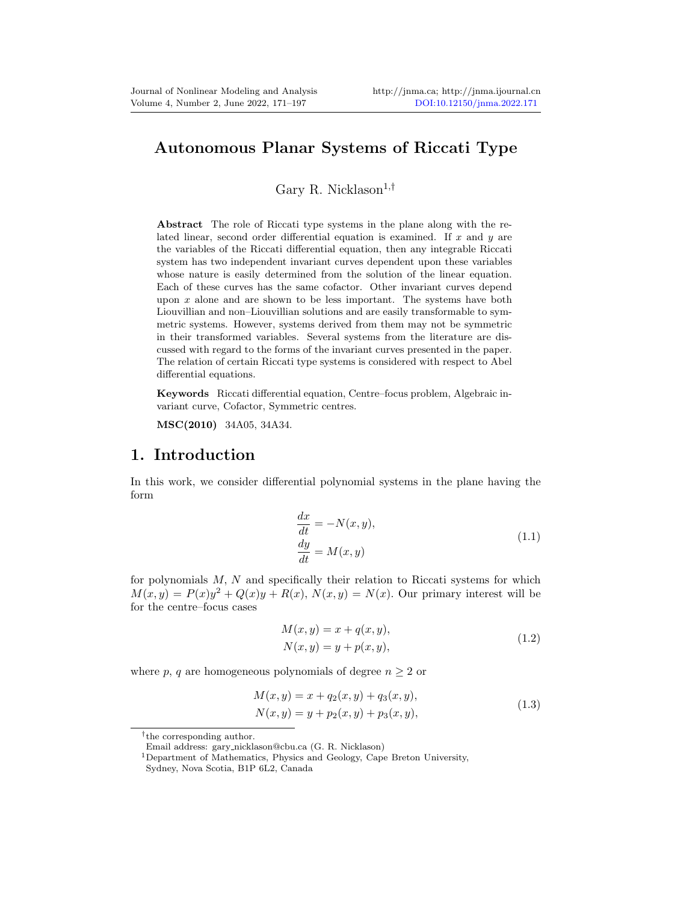## Autonomous Planar Systems of Riccati Type

Gary R. Nicklason<sup>1,†</sup>

Abstract The role of Riccati type systems in the plane along with the related linear, second order differential equation is examined. If  $x$  and  $y$  are the variables of the Riccati differential equation, then any integrable Riccati system has two independent invariant curves dependent upon these variables whose nature is easily determined from the solution of the linear equation. Each of these curves has the same cofactor. Other invariant curves depend upon  $x$  alone and are shown to be less important. The systems have both Liouvillian and non–Liouvillian solutions and are easily transformable to symmetric systems. However, systems derived from them may not be symmetric in their transformed variables. Several systems from the literature are discussed with regard to the forms of the invariant curves presented in the paper. The relation of certain Riccati type systems is considered with respect to Abel differential equations.

Keywords Riccati differential equation, Centre–focus problem, Algebraic invariant curve, Cofactor, Symmetric centres.

MSC(2010) 34A05, 34A34.

### 1. Introduction

In this work, we consider differential polynomial systems in the plane having the form

$$
\begin{aligned}\n\frac{dx}{dt} &= -N(x, y),\\
\frac{dy}{dt} &= M(x, y)\n\end{aligned} \tag{1.1}
$$

<span id="page-0-0"></span>for polynomials  $M, N$  and specifically their relation to Riccati systems for which  $M(x, y) = P(x)y^{2} + Q(x)y + R(x), N(x, y) = N(x)$ . Our primary interest will be for the centre–focus cases

$$
M(x, y) = x + q(x, y),
$$
  
\n
$$
N(x, y) = y + p(x, y),
$$
\n(1.2)

<span id="page-0-2"></span><span id="page-0-1"></span>where p, q are homogeneous polynomials of degree  $n \geq 2$  or

$$
M(x, y) = x + q_2(x, y) + q_3(x, y),
$$
  
\n
$$
N(x, y) = y + p_2(x, y) + p_3(x, y),
$$
\n(1.3)

<sup>†</sup> the corresponding author.

Email address: gary nicklason@cbu.ca (G. R. Nicklason)

<sup>1</sup>Department of Mathematics, Physics and Geology, Cape Breton University,

Sydney, Nova Scotia, B1P 6L2, Canada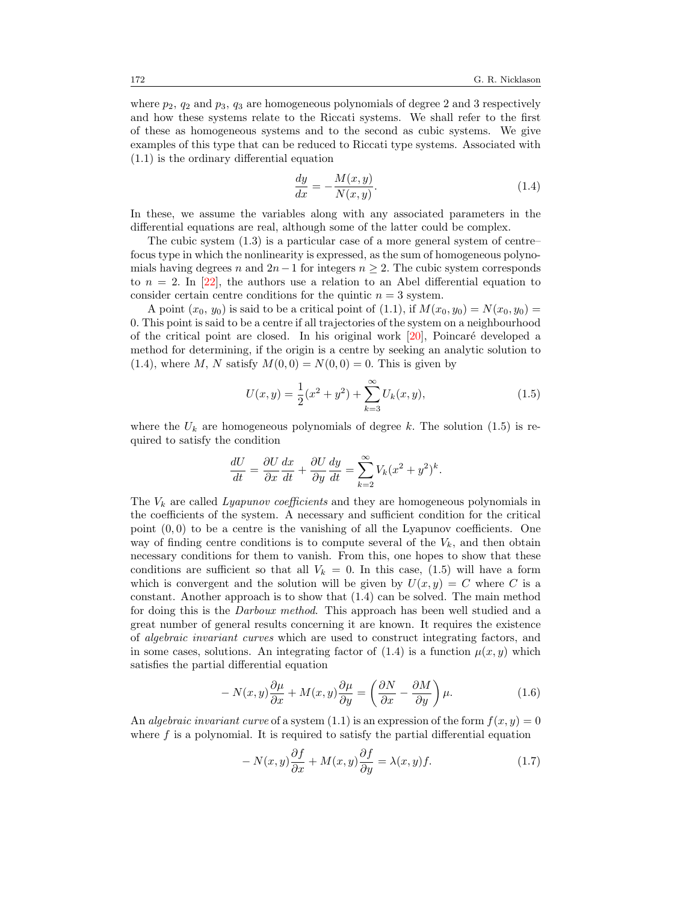where  $p_2$ ,  $q_2$  and  $p_3$ ,  $q_3$  are homogeneous polynomials of degree 2 and 3 respectively and how these systems relate to the Riccati systems. We shall refer to the first of these as homogeneous systems and to the second as cubic systems. We give examples of this type that can be reduced to Riccati type systems. Associated with [\(1.1\)](#page-0-0) is the ordinary differential equation

<span id="page-1-0"></span>
$$
\frac{dy}{dx} = -\frac{M(x,y)}{N(x,y)}.\t(1.4)
$$

In these, we assume the variables along with any associated parameters in the differential equations are real, although some of the latter could be complex.

The cubic system [\(1.3\)](#page-0-1) is a particular case of a more general system of centre– focus type in which the nonlinearity is expressed, as the sum of homogeneous polynomials having degrees n and  $2n-1$  for integers  $n \geq 2$ . The cubic system corresponds to  $n = 2$ . In [\[22\]](#page-26-0), the authors use a relation to an Abel differential equation to consider certain centre conditions for the quintic  $n = 3$  system.

A point  $(x_0, y_0)$  is said to be a critical point of  $(1.1)$ , if  $M(x_0, y_0) = N(x_0, y_0)$ 0. This point is said to be a centre if all trajectories of the system on a neighbourhood of the critical point are closed. In his original work  $[20]$ , Poincaré developed a method for determining, if the origin is a centre by seeking an analytic solution to [\(1.4\)](#page-1-0), where M, N satisfy  $M(0, 0) = N(0, 0) = 0$ . This is given by

<span id="page-1-1"></span>
$$
U(x,y) = \frac{1}{2}(x^2 + y^2) + \sum_{k=3}^{\infty} U_k(x,y),
$$
\n(1.5)

where the  $U_k$  are homogeneous polynomials of degree k. The solution [\(1.5\)](#page-1-1) is required to satisfy the condition

$$
\frac{dU}{dt} = \frac{\partial U}{\partial x}\frac{dx}{dt} + \frac{\partial U}{\partial y}\frac{dy}{dt} = \sum_{k=2}^{\infty} V_k (x^2 + y^2)^k.
$$

The  $V_k$  are called Lyapunov coefficients and they are homogeneous polynomials in the coefficients of the system. A necessary and sufficient condition for the critical point  $(0,0)$  to be a centre is the vanishing of all the Lyapunov coefficients. One way of finding centre conditions is to compute several of the  $V_k$ , and then obtain necessary conditions for them to vanish. From this, one hopes to show that these conditions are sufficient so that all  $V_k = 0$ . In this case, [\(1.5\)](#page-1-1) will have a form which is convergent and the solution will be given by  $U(x, y) = C$  where C is a constant. Another approach is to show that [\(1.4\)](#page-1-0) can be solved. The main method for doing this is the Darboux method. This approach has been well studied and a great number of general results concerning it are known. It requires the existence of algebraic invariant curves which are used to construct integrating factors, and in some cases, solutions. An integrating factor of  $(1.4)$  is a function  $\mu(x, y)$  which satisfies the partial differential equation

<span id="page-1-3"></span>
$$
-N(x,y)\frac{\partial\mu}{\partial x} + M(x,y)\frac{\partial\mu}{\partial y} = \left(\frac{\partial N}{\partial x} - \frac{\partial M}{\partial y}\right)\mu.
$$
 (1.6)

An algebraic invariant curve of a system  $(1.1)$  is an expression of the form  $f(x, y) = 0$ where  $f$  is a polynomial. It is required to satisfy the partial differential equation

<span id="page-1-2"></span>
$$
-N(x,y)\frac{\partial f}{\partial x} + M(x,y)\frac{\partial f}{\partial y} = \lambda(x,y)f.
$$
\n(1.7)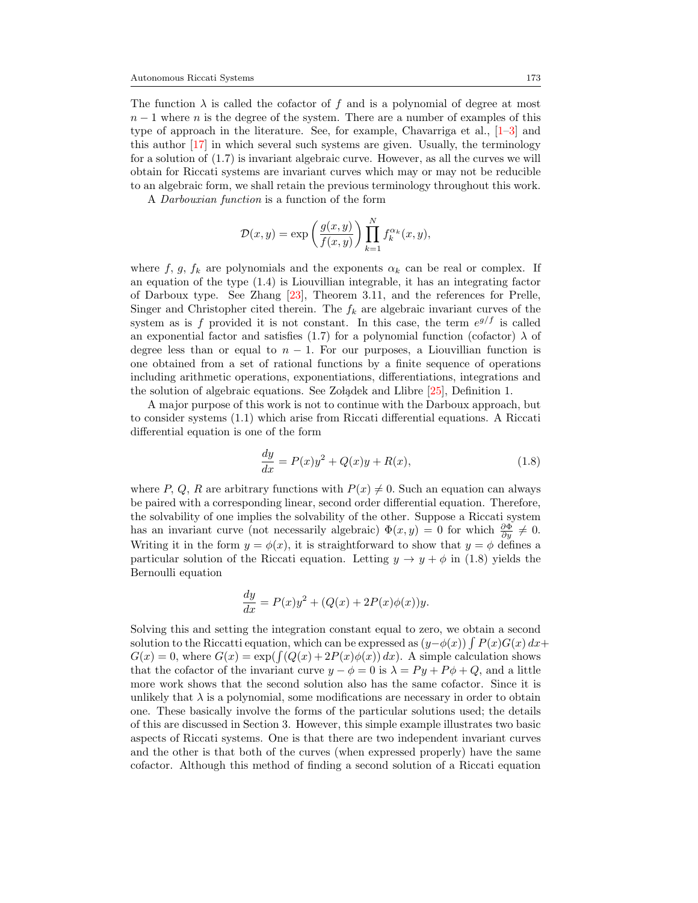The function  $\lambda$  is called the cofactor of f and is a polynomial of degree at most  $n-1$  where n is the degree of the system. There are a number of examples of this type of approach in the literature. See, for example, Chavarriga et al., [\[1–](#page-24-1)[3\]](#page-25-0) and this author [\[17\]](#page-25-1) in which several such systems are given. Usually, the terminology for a solution of [\(1.7\)](#page-1-2) is invariant algebraic curve. However, as all the curves we will obtain for Riccati systems are invariant curves which may or may not be reducible to an algebraic form, we shall retain the previous terminology throughout this work.

A Darbouxian function is a function of the form

$$
\mathcal{D}(x,y) = \exp\left(\frac{g(x,y)}{f(x,y)}\right) \prod_{k=1}^N f_k^{\alpha_k}(x,y),
$$

where f, g,  $f_k$  are polynomials and the exponents  $\alpha_k$  can be real or complex. If an equation of the type [\(1.4\)](#page-1-0) is Liouvillian integrable, it has an integrating factor of Darboux type. See Zhang [\[23\]](#page-26-2), Theorem 3.11, and the references for Prelle, Singer and Christopher cited therein. The  $f_k$  are algebraic invariant curves of the system as is f provided it is not constant. In this case, the term  $e^{g/f}$  is called an exponential factor and satisfies [\(1.7\)](#page-1-2) for a polynomial function (cofactor)  $\lambda$  of degree less than or equal to  $n - 1$ . For our purposes, a Liouvillian function is one obtained from a set of rational functions by a finite sequence of operations including arithmetic operations, exponentiations, differentiations, integrations and the solution of algebraic equations. See Zo ladek and Llibre  $[25]$ , Definition 1.

A major purpose of this work is not to continue with the Darboux approach, but to consider systems [\(1.1\)](#page-0-0) which arise from Riccati differential equations. A Riccati differential equation is one of the form

<span id="page-2-0"></span>
$$
\frac{dy}{dx} = P(x)y^2 + Q(x)y + R(x),
$$
\n(1.8)

where P, Q, R are arbitrary functions with  $P(x) \neq 0$ . Such an equation can always be paired with a corresponding linear, second order differential equation. Therefore, the solvability of one implies the solvability of the other. Suppose a Riccati system has an invariant curve (not necessarily algebraic)  $\Phi(x, y) = 0$  for which  $\frac{\partial \Phi}{\partial y} \neq 0$ . Writing it in the form  $y = \phi(x)$ , it is straightforward to show that  $y = \phi$  defines a particular solution of the Riccati equation. Letting  $y \to y + \phi$  in [\(1.8\)](#page-2-0) yields the Bernoulli equation

$$
\frac{dy}{dx} = P(x)y^2 + (Q(x) + 2P(x)\phi(x))y.
$$

Solving this and setting the integration constant equal to zero, we obtain a second solution to the Riccatti equation, which can be expressed as  $(y-\phi(x)) \int P(x)G(x) dx +$  $G(x) = 0$ , where  $G(x) = \exp(\int (Q(x) + 2P(x)\phi(x)) dx)$ . A simple calculation shows that the cofactor of the invariant curve  $y - \phi = 0$  is  $\lambda = Py + P\phi + Q$ , and a little more work shows that the second solution also has the same cofactor. Since it is unlikely that  $\lambda$  is a polynomial, some modifications are necessary in order to obtain one. These basically involve the forms of the particular solutions used; the details of this are discussed in Section 3. However, this simple example illustrates two basic aspects of Riccati systems. One is that there are two independent invariant curves and the other is that both of the curves (when expressed properly) have the same cofactor. Although this method of finding a second solution of a Riccati equation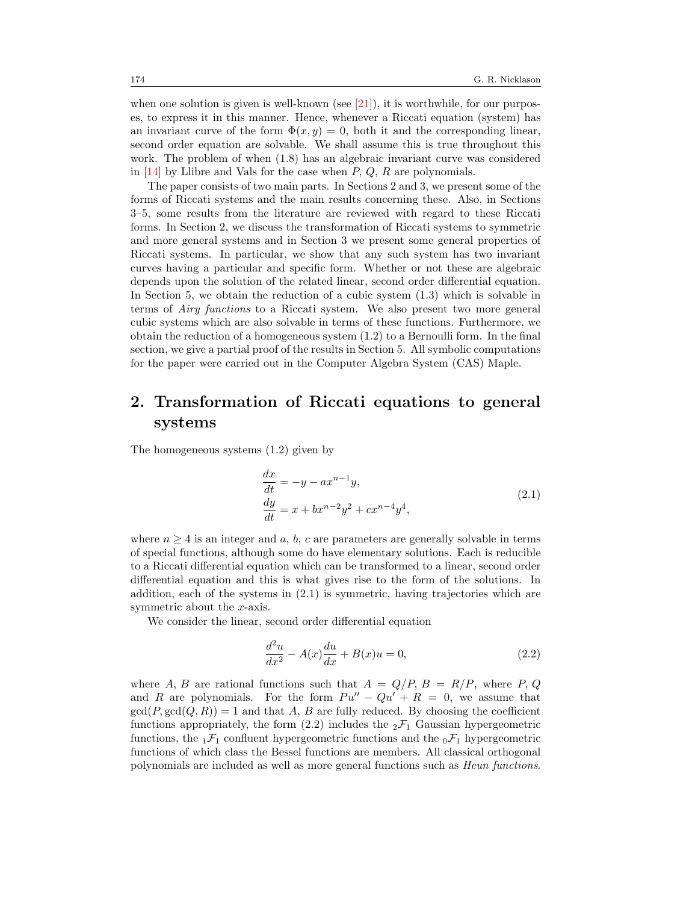when one solution is given is well-known (see  $(21)$ ), it is worthwhile, for our purposes, to express it in this manner. Hence, whenever a Riccati equation (system) has an invariant curve of the form  $\Phi(x, y) = 0$ , both it and the corresponding linear, second order equation are solvable. We shall assume this is true throughout this work. The problem of when [\(1.8\)](#page-2-0) has an algebraic invariant curve was considered in  $[14]$  by Llibre and Vals for the case when  $P$ ,  $Q$ ,  $R$  are polynomials.

The paper consists of two main parts. In Sections 2 and 3, we present some of the forms of Riccati systems and the main results concerning these. Also, in Sections 3–5, some results from the literature are reviewed with regard to these Riccati forms. In Section 2, we discuss the transformation of Riccati systems to symmetric and more general systems and in Section 3 we present some general properties of Riccati systems. In particular, we show that any such system has two invariant curves having a particular and specific form. Whether or not these are algebraic depends upon the solution of the related linear, second order differential equation. In Section 5, we obtain the reduction of a cubic system [\(1.3\)](#page-0-1) which is solvable in terms of Airy functions to a Riccati system. We also present two more general cubic systems which are also solvable in terms of these functions. Furthermore, we obtain the reduction of a homogeneous system [\(1.2\)](#page-0-2) to a Bernoulli form. In the final section, we give a partial proof of the results in Section 5. All symbolic computations for the paper were carried out in the Computer Algebra System (CAS) Maple.

# 2. Transformation of Riccati equations to general systems

<span id="page-3-0"></span>The homogeneous systems [\(1.2\)](#page-0-2) given by

$$
\begin{aligned}\n\frac{dx}{dt} &= -y - ax^{n-1}y, \\
\frac{dy}{dt} &= x + bx^{n-2}y^2 + cx^{n-4}y^4,\n\end{aligned} \tag{2.1}
$$

where  $n \geq 4$  is an integer and a, b, c are parameters are generally solvable in terms of special functions, although some do have elementary solutions. Each is reducible to a Riccati differential equation which can be transformed to a linear, second order differential equation and this is what gives rise to the form of the solutions. In addition, each of the systems in  $(2.1)$  is symmetric, having trajectories which are symmetric about the x-axis.

We consider the linear, second order differential equation

<span id="page-3-1"></span>
$$
\frac{d^2u}{dx^2} - A(x)\frac{du}{dx} + B(x)u = 0,
$$
\n(2.2)

where A, B are rational functions such that  $A = Q/P$ ,  $B = R/P$ , where P, Q and R are polynomials. For the form  $Pu'' - Qu' + R = 0$ , we assume that  $gcd(P, gcd(Q, R)) = 1$  and that A, B are fully reduced. By choosing the coefficient functions appropriately, the form  $(2.2)$  includes the  ${}_2\mathcal{F}_1$  Gaussian hypergeometric functions, the  ${}_{1}F_{1}$  confluent hypergeometric functions and the  ${}_{0}F_{1}$  hypergeometric functions of which class the Bessel functions are members. All classical orthogonal polynomials are included as well as more general functions such as Heun functions.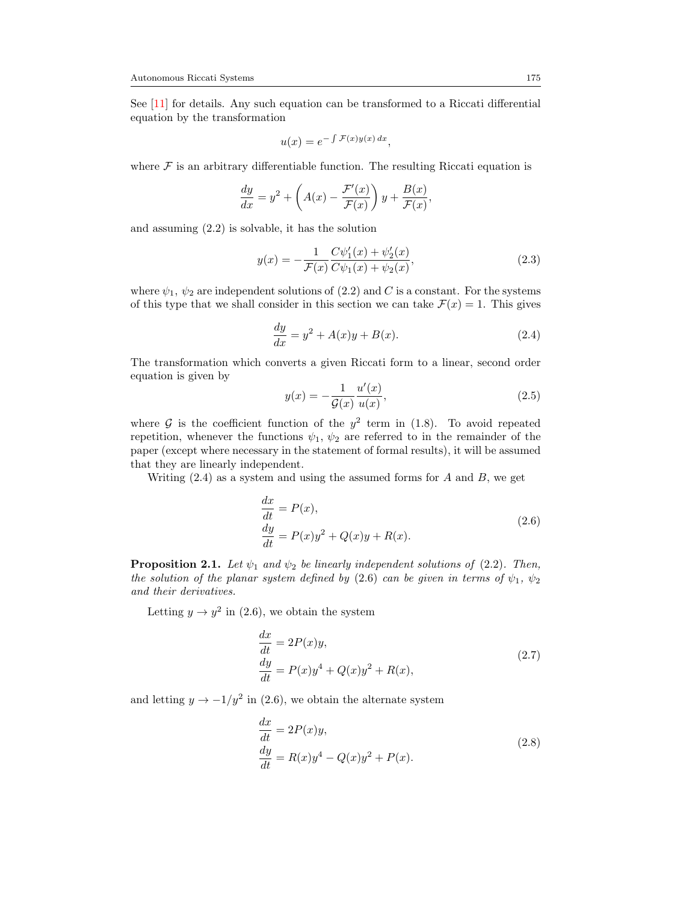See [\[11\]](#page-25-3) for details. Any such equation can be transformed to a Riccati differential equation by the transformation

$$
u(x) = e^{-\int \mathcal{F}(x)y(x) dx},
$$

where  $\mathcal F$  is an arbitrary differentiable function. The resulting Riccati equation is

$$
\frac{dy}{dx} = y^2 + \left(A(x) - \frac{\mathcal{F}'(x)}{\mathcal{F}(x)}\right)y + \frac{B(x)}{\mathcal{F}(x)},
$$

and assuming [\(2.2\)](#page-3-1) is solvable, it has the solution

<span id="page-4-4"></span>
$$
y(x) = -\frac{1}{\mathcal{F}(x)} \frac{C\psi_1'(x) + \psi_2'(x)}{C\psi_1(x) + \psi_2(x)},
$$
\n(2.3)

where  $\psi_1$ ,  $\psi_2$  are independent solutions of [\(2.2\)](#page-3-1) and C is a constant. For the systems of this type that we shall consider in this section we can take  $\mathcal{F}(x) = 1$ . This gives

<span id="page-4-0"></span>
$$
\frac{dy}{dx} = y^2 + A(x)y + B(x).
$$
 (2.4)

The transformation which converts a given Riccati form to a linear, second order equation is given by

<span id="page-4-5"></span>
$$
y(x) = -\frac{1}{\mathcal{G}(x)} \frac{u'(x)}{u(x)},
$$
\n(2.5)

where  $\mathcal G$  is the coefficient function of the  $y^2$  term in [\(1.8\)](#page-2-0). To avoid repeated repetition, whenever the functions  $\psi_1$ ,  $\psi_2$  are referred to in the remainder of the paper (except where necessary in the statement of formal results), it will be assumed that they are linearly independent.

<span id="page-4-1"></span>Writing  $(2.4)$  as a system and using the assumed forms for A and B, we get

$$
\begin{aligned} \frac{dx}{dt} &= P(x),\\ \frac{dy}{dt} &= P(x)y^2 + Q(x)y + R(x). \end{aligned} \tag{2.6}
$$

**Proposition 2.1.** Let  $\psi_1$  and  $\psi_2$  be linearly independent solutions of [\(2.2\)](#page-3-1). Then, the solution of the planar system defined by [\(2.6\)](#page-4-1) can be given in terms of  $\psi_1$ ,  $\psi_2$ and their derivatives.

<span id="page-4-2"></span>Letting  $y \to y^2$  in [\(2.6\)](#page-4-1), we obtain the system

$$
\begin{aligned} \frac{dx}{dt} &= 2P(x)y, \\ \frac{dy}{dt} &= P(x)y^4 + Q(x)y^2 + R(x), \end{aligned} \tag{2.7}
$$

<span id="page-4-3"></span>and letting  $y \to -1/y^2$  in [\(2.6\)](#page-4-1), we obtain the alternate system

$$
\frac{dx}{dt} = 2P(x)y,
$$
  
\n
$$
\frac{dy}{dt} = R(x)y^4 - Q(x)y^2 + P(x).
$$
\n(2.8)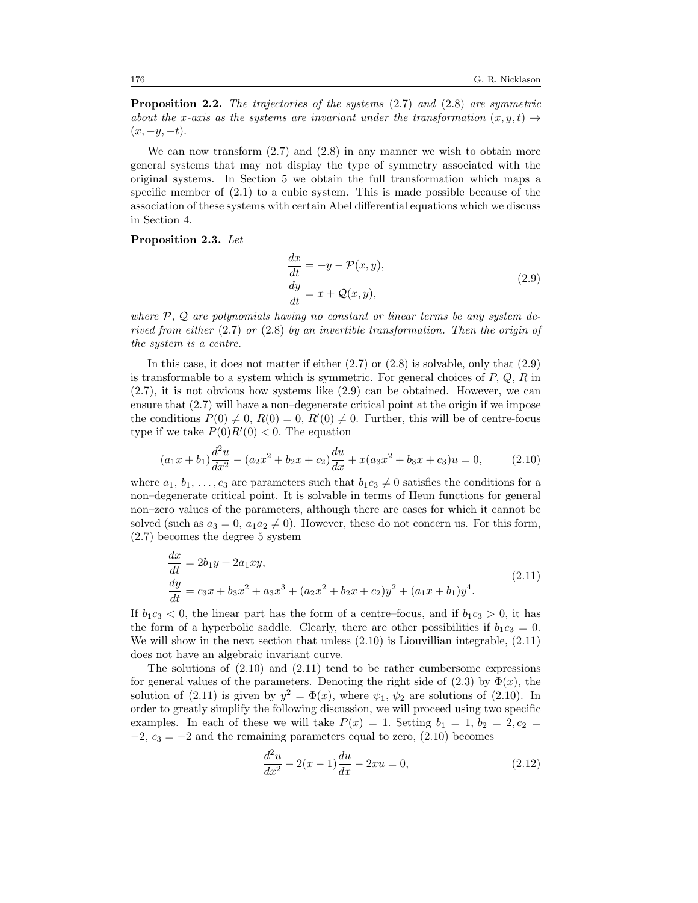<span id="page-5-4"></span>**Proposition 2.2.** The trajectories of the systems [\(2.7\)](#page-4-2) and [\(2.8\)](#page-4-3) are symmetric about the x-axis as the systems are invariant under the transformation  $(x, y, t) \rightarrow$  $(x, -y, -t).$ 

We can now transform  $(2.7)$  and  $(2.8)$  in any manner we wish to obtain more general systems that may not display the type of symmetry associated with the original systems. In Section 5 we obtain the full transformation which maps a specific member of  $(2.1)$  to a cubic system. This is made possible because of the association of these systems with certain Abel differential equations which we discuss in Section 4.

#### <span id="page-5-0"></span>Proposition 2.3. Let

$$
\frac{dx}{dt} = -y - \mathcal{P}(x, y), \n\frac{dy}{dt} = x + \mathcal{Q}(x, y),
$$
\n(2.9)

where  $P$ ,  $Q$  are polynomials having no constant or linear terms be any system derived from either [\(2.7\)](#page-4-2) or [\(2.8\)](#page-4-3) by an invertible transformation. Then the origin of the system is a centre.

In this case, it does not matter if either  $(2.7)$  or  $(2.8)$  is solvable, only that  $(2.9)$ is transformable to a system which is symmetric. For general choices of  $P, Q, R$  in [\(2.7\)](#page-4-2), it is not obvious how systems like [\(2.9\)](#page-5-0) can be obtained. However, we can ensure that [\(2.7\)](#page-4-2) will have a non–degenerate critical point at the origin if we impose the conditions  $P(0) \neq 0$ ,  $R(0) = 0$ ,  $R'(0) \neq 0$ . Further, this will be of centre-focus type if we take  $P(0)R'(0) < 0$ . The equation

<span id="page-5-1"></span>
$$
(a_1x + b_1)\frac{d^2u}{dx^2} - (a_2x^2 + b_2x + c_2)\frac{du}{dx} + x(a_3x^2 + b_3x + c_3)u = 0,
$$
 (2.10)

where  $a_1, b_1, \ldots, c_3$  are parameters such that  $b_1c_3 \neq 0$  satisfies the conditions for a non–degenerate critical point. It is solvable in terms of Heun functions for general non–zero values of the parameters, although there are cases for which it cannot be solved (such as  $a_3 = 0$ ,  $a_1 a_2 \neq 0$ ). However, these do not concern us. For this form, [\(2.7\)](#page-4-2) becomes the degree 5 system

$$
\begin{aligned}\n\frac{dx}{dt} &= 2b_1y + 2a_1xy, \\
\frac{dy}{dt} &= c_3x + b_3x^2 + a_3x^3 + (a_2x^2 + b_2x + c_2)y^2 + (a_1x + b_1)y^4.\n\end{aligned} \tag{2.11}
$$

<span id="page-5-2"></span>If  $b_1c_3 < 0$ , the linear part has the form of a centre–focus, and if  $b_1c_3 > 0$ , it has the form of a hyperbolic saddle. Clearly, there are other possibilities if  $b_1c_3 = 0$ . We will show in the next section that unless [\(2.10\)](#page-5-1) is Liouvillian integrable, [\(2.11\)](#page-5-2) does not have an algebraic invariant curve.

The solutions of  $(2.10)$  and  $(2.11)$  tend to be rather cumbersome expressions for general values of the parameters. Denoting the right side of  $(2.3)$  by  $\Phi(x)$ , the solution of [\(2.11\)](#page-5-2) is given by  $y^2 = \Phi(x)$ , where  $\psi_1, \psi_2$  are solutions of [\(2.10\)](#page-5-1). In order to greatly simplify the following discussion, we will proceed using two specific examples. In each of these we will take  $P(x) = 1$ . Setting  $b_1 = 1$ ,  $b_2 = 2$ ,  $c_2 =$  $-2$ ,  $c_3 = -2$  and the remaining parameters equal to zero,  $(2.10)$  becomes

<span id="page-5-3"></span>
$$
\frac{d^2u}{dx^2} - 2(x-1)\frac{du}{dx} - 2xu = 0,
$$
\n(2.12)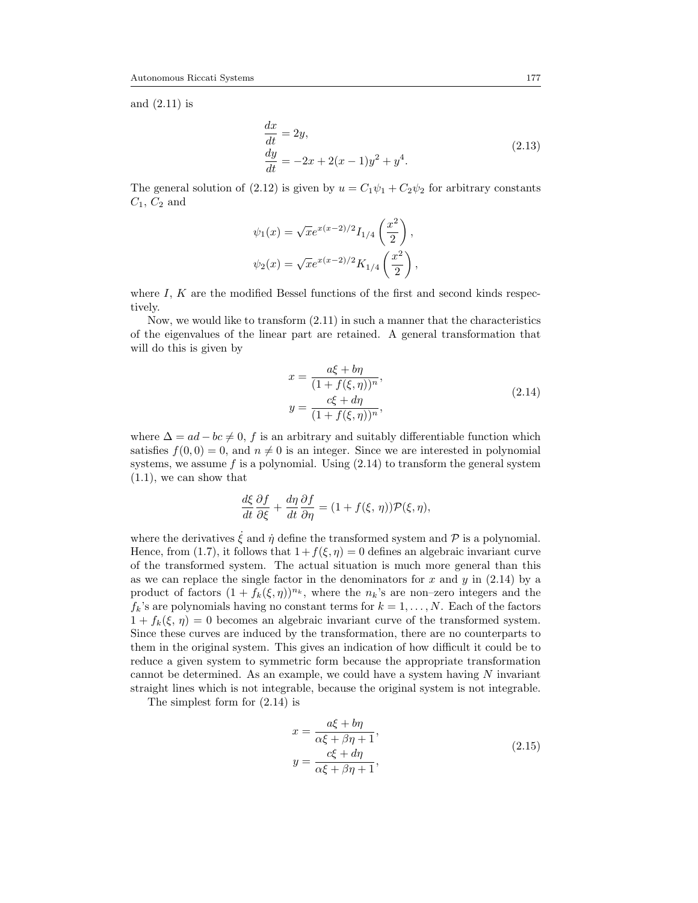<span id="page-6-1"></span>and [\(2.11\)](#page-5-2) is

$$
\begin{aligned}\n\frac{dx}{dt} &= 2y, \\
\frac{dy}{dt} &= -2x + 2(x - 1)y^2 + y^4.\n\end{aligned} \tag{2.13}
$$

The general solution of [\(2.12\)](#page-5-3) is given by  $u = C_1 \psi_1 + C_2 \psi_2$  for arbitrary constants  $C_1, C_2$  and

$$
\psi_1(x) = \sqrt{x}e^{x(x-2)/2}I_{1/4}\left(\frac{x^2}{2}\right),
$$
  

$$
\psi_2(x) = \sqrt{x}e^{x(x-2)/2}K_{1/4}\left(\frac{x^2}{2}\right),
$$

where  $I, K$  are the modified Bessel functions of the first and second kinds respectively.

Now, we would like to transform [\(2.11\)](#page-5-2) in such a manner that the characteristics of the eigenvalues of the linear part are retained. A general transformation that will do this is given by

$$
x = \frac{a\xi + b\eta}{(1 + f(\xi, \eta))^n},
$$
  
\n
$$
y = \frac{c\xi + d\eta}{(1 + f(\xi, \eta))^n},
$$
\n(2.14)

<span id="page-6-0"></span>where  $\Delta = ad - bc \neq 0$ , f is an arbitrary and suitably differentiable function which satisfies  $f(0, 0) = 0$ , and  $n \neq 0$  is an integer. Since we are interested in polynomial systems, we assume  $f$  is a polynomial. Using  $(2.14)$  to transform the general system [\(1.1\)](#page-0-0), we can show that

$$
\frac{d\xi}{dt}\frac{\partial f}{\partial \xi} + \frac{d\eta}{dt}\frac{\partial f}{\partial \eta} = (1 + f(\xi, \eta))\mathcal{P}(\xi, \eta),
$$

where the derivatives  $\dot{\xi}$  and  $\dot{\eta}$  define the transformed system and  $\mathcal P$  is a polynomial. Hence, from [\(1.7\)](#page-1-2), it follows that  $1+f(\xi,\eta)=0$  defines an algebraic invariant curve of the transformed system. The actual situation is much more general than this as we can replace the single factor in the denominators for  $x$  and  $y$  in [\(2.14\)](#page-6-0) by a product of factors  $(1 + f_k(\xi, \eta))^{n_k}$ , where the  $n_k$ 's are non-zero integers and the  $f_k$ 's are polynomials having no constant terms for  $k = 1, ..., N$ . Each of the factors  $1 + f_k(\xi, \eta) = 0$  becomes an algebraic invariant curve of the transformed system. Since these curves are induced by the transformation, there are no counterparts to them in the original system. This gives an indication of how difficult it could be to reduce a given system to symmetric form because the appropriate transformation cannot be determined. As an example, we could have a system having  $N$  invariant straight lines which is not integrable, because the original system is not integrable.

<span id="page-6-2"></span>The simplest form for [\(2.14\)](#page-6-0) is

$$
x = \frac{a\xi + b\eta}{\alpha\xi + \beta\eta + 1},
$$
  
\n
$$
y = \frac{c\xi + d\eta}{\alpha\xi + \beta\eta + 1},
$$
\n(2.15)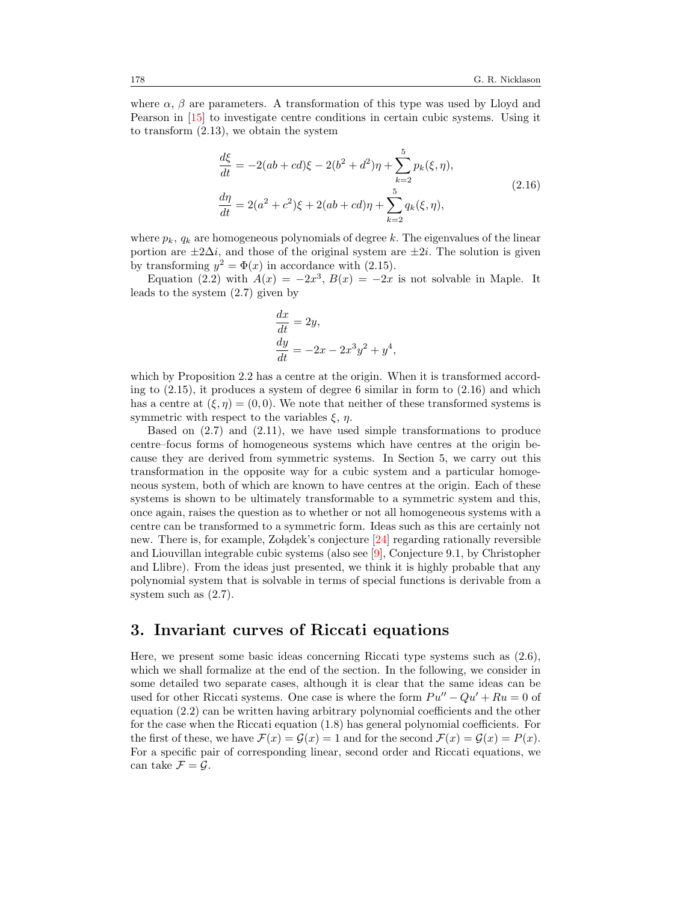where  $\alpha$ ,  $\beta$  are parameters. A transformation of this type was used by Lloyd and Pearson in [\[15\]](#page-25-4) to investigate centre conditions in certain cubic systems. Using it to transform [\(2.13\)](#page-6-1), we obtain the system

$$
\frac{d\xi}{dt} = -2(ab + cd)\xi - 2(b^2 + d^2)\eta + \sum_{k=2}^{5} p_k(\xi, \eta),
$$
  
\n
$$
\frac{d\eta}{dt} = 2(a^2 + c^2)\xi + 2(ab + cd)\eta + \sum_{k=2}^{5} q_k(\xi, \eta),
$$
\n(2.16)

<span id="page-7-0"></span>where  $p_k$ ,  $q_k$  are homogeneous polynomials of degree k. The eigenvalues of the linear portion are  $\pm 2\Delta i$ , and those of the original system are  $\pm 2i$ . The solution is given by transforming  $y^2 = \Phi(x)$  in accordance with [\(2.15\)](#page-6-2).

Equation [\(2.2\)](#page-3-1) with  $A(x) = -2x^3$ ,  $B(x) = -2x$  is not solvable in Maple. It leads to the system [\(2.7\)](#page-4-2) given by

$$
\begin{aligned}\n\frac{dx}{dt} &= 2y, \\
\frac{dy}{dt} &= -2x - 2x^3y^2 + y^4,\n\end{aligned}
$$

which by Proposition [2.2](#page-5-4) has a centre at the origin. When it is transformed according to [\(2.15\)](#page-6-2), it produces a system of degree 6 similar in form to [\(2.16\)](#page-7-0) and which has a centre at  $(\xi, \eta) = (0, 0)$ . We note that neither of these transformed systems is symmetric with respect to the variables  $\xi$ ,  $\eta$ .

Based on [\(2.7\)](#page-4-2) and [\(2.11\)](#page-5-2), we have used simple transformations to produce centre–focus forms of homogeneous systems which have centres at the origin because they are derived from symmetric systems. In Section 5, we carry out this transformation in the opposite way for a cubic system and a particular homogeneous system, both of which are known to have centres at the origin. Each of these systems is shown to be ultimately transformable to a symmetric system and this, once again, raises the question as to whether or not all homogeneous systems with a centre can be transformed to a symmetric form. Ideas such as this are certainly not new. There is, for example, Zo lądek's conjecture  $[24]$  regarding rationally reversible and Liouvillan integrable cubic systems (also see [\[9\]](#page-25-5), Conjecture 9.1, by Christopher and Llibre). From the ideas just presented, we think it is highly probable that any polynomial system that is solvable in terms of special functions is derivable from a system such as [\(2.7\)](#page-4-2).

### 3. Invariant curves of Riccati equations

Here, we present some basic ideas concerning Riccati type systems such as [\(2.6\)](#page-4-1), which we shall formalize at the end of the section. In the following, we consider in some detailed two separate cases, although it is clear that the same ideas can be used for other Riccati systems. One case is where the form  $Pu'' - Qu' + Ru = 0$  of equation [\(2.2\)](#page-3-1) can be written having arbitrary polynomial coefficients and the other for the case when the Riccati equation [\(1.8\)](#page-2-0) has general polynomial coefficients. For the first of these, we have  $\mathcal{F}(x) = \mathcal{G}(x) = 1$  and for the second  $\mathcal{F}(x) = \mathcal{G}(x) = P(x)$ . For a specific pair of corresponding linear, second order and Riccati equations, we can take  $\mathcal{F} = \mathcal{G}$ .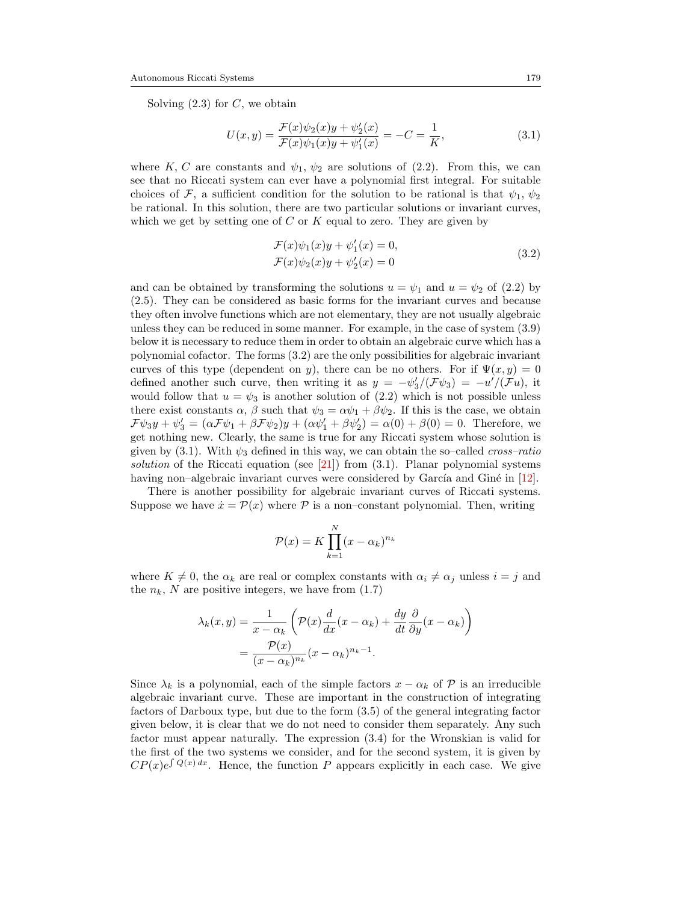Solving  $(2.3)$  for C, we obtain

<span id="page-8-1"></span>
$$
U(x,y) = \frac{\mathcal{F}(x)\psi_2(x)y + \psi_2'(x)}{\mathcal{F}(x)\psi_1(x)y + \psi_1'(x)} = -C = \frac{1}{K},
$$
\n(3.1)

where K, C are constants and  $\psi_1, \psi_2$  are solutions of [\(2.2\)](#page-3-1). From this, we can see that no Riccati system can ever have a polynomial first integral. For suitable choices of F, a sufficient condition for the solution to be rational is that  $\psi_1, \psi_2$ be rational. In this solution, there are two particular solutions or invariant curves, which we get by setting one of  $C$  or  $K$  equal to zero. They are given by

$$
\mathcal{F}(x)\psi_1(x)y + \psi'_1(x) = 0,
$$
  
\n
$$
\mathcal{F}(x)\psi_2(x)y + \psi'_2(x) = 0
$$
\n(3.2)

<span id="page-8-0"></span>and can be obtained by transforming the solutions  $u = \psi_1$  and  $u = \psi_2$  of [\(2.2\)](#page-3-1) by [\(2.5\)](#page-4-5). They can be considered as basic forms for the invariant curves and because they often involve functions which are not elementary, they are not usually algebraic unless they can be reduced in some manner. For example, in the case of system [\(3.9\)](#page-10-0) below it is necessary to reduce them in order to obtain an algebraic curve which has a polynomial cofactor. The forms [\(3.2\)](#page-8-0) are the only possibilities for algebraic invariant curves of this type (dependent on y), there can be no others. For if  $\Psi(x, y) = 0$ defined another such curve, then writing it as  $y = -\psi_3' / (\mathcal{F}\psi_3) = -u' / (\mathcal{F}u)$ , it would follow that  $u = \psi_3$  is another solution of [\(2.2\)](#page-3-1) which is not possible unless there exist constants  $\alpha$ ,  $\beta$  such that  $\psi_3 = \alpha \psi_1 + \beta \psi_2$ . If this is the case, we obtain  $\mathcal{F}\psi_3y + \psi_3' = (\alpha \mathcal{F}\psi_1 + \beta \mathcal{F}\psi_2)y + (\alpha \psi_1' + \beta \psi_2') = \alpha(0) + \beta(0) = 0$ . Therefore, we get nothing new. Clearly, the same is true for any Riccati system whose solution is given by [\(3.1\)](#page-8-1). With  $\psi_3$  defined in this way, we can obtain the so–called *cross–ratio* solution of the Riccati equation (see [\[21\]](#page-26-4)) from  $(3.1)$ . Planar polynomial systems having non–algebraic invariant curves were considered by García and Giné in  $[12]$ .

There is another possibility for algebraic invariant curves of Riccati systems. Suppose we have  $\dot{x} = \mathcal{P}(x)$  where  $\mathcal{P}$  is a non–constant polynomial. Then, writing

$$
\mathcal{P}(x) = K \prod_{k=1}^{N} (x - \alpha_k)^{n_k}
$$

where  $K \neq 0$ , the  $\alpha_k$  are real or complex constants with  $\alpha_i \neq \alpha_j$  unless  $i = j$  and the  $n_k$ , N are positive integers, we have from  $(1.7)$ 

$$
\lambda_k(x, y) = \frac{1}{x - \alpha_k} \left( \mathcal{P}(x) \frac{d}{dx} (x - \alpha_k) + \frac{dy}{dt} \frac{\partial}{\partial y} (x - \alpha_k) \right)
$$

$$
= \frac{\mathcal{P}(x)}{(x - \alpha_k)^{n_k}} (x - \alpha_k)^{n_k - 1}.
$$

Since  $\lambda_k$  is a polynomial, each of the simple factors  $x - \alpha_k$  of P is an irreducible algebraic invariant curve. These are important in the construction of integrating factors of Darboux type, but due to the form [\(3.5\)](#page-9-0) of the general integrating factor given below, it is clear that we do not need to consider them separately. Any such factor must appear naturally. The expression [\(3.4\)](#page-9-1) for the Wronskian is valid for the first of the two systems we consider, and for the second system, it is given by  $CP(x)e^{\int Q(x) dx}$ . Hence, the function P appears explicitly in each case. We give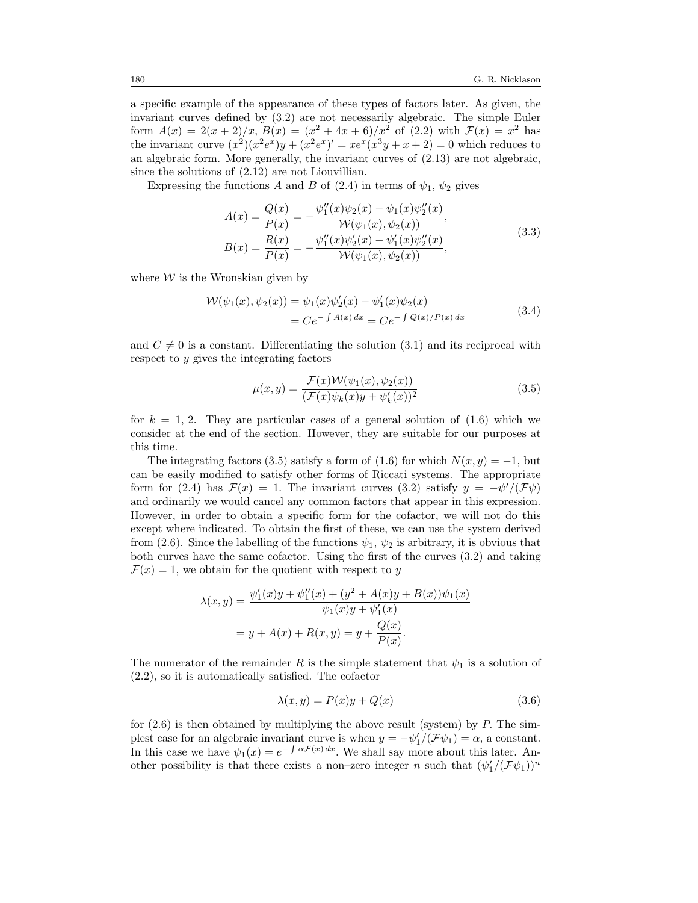a specific example of the appearance of these types of factors later. As given, the invariant curves defined by [\(3.2\)](#page-8-0) are not necessarily algebraic. The simple Euler form  $A(x) = 2(x+2)/x$ ,  $B(x) = (x^2 + 4x + 6)/x^2$  of  $(2.2)$  with  $\mathcal{F}(x) = x^2$  has the invariant curve  $(x^2)(x^2e^x)y + (x^2e^x)' = xe^x(x^3y + x + 2) = 0$  which reduces to an algebraic form. More generally, the invariant curves of  $(2.13)$  are not algebraic, since the solutions of [\(2.12\)](#page-5-3) are not Liouvillian.

<span id="page-9-3"></span>Expressing the functions A and B of [\(2.4\)](#page-4-0) in terms of  $\psi_1$ ,  $\psi_2$  gives

$$
A(x) = \frac{Q(x)}{P(x)} = -\frac{\psi_1''(x)\psi_2(x) - \psi_1(x)\psi_2''(x)}{\mathcal{W}(\psi_1(x), \psi_2(x))},
$$
  
\n
$$
B(x) = \frac{R(x)}{P(x)} = -\frac{\psi_1''(x)\psi_2'(x) - \psi_1'(x)\psi_2''(x)}{\mathcal{W}(\psi_1(x), \psi_2(x))},
$$
\n(3.3)

<span id="page-9-1"></span>where  $W$  is the Wronskian given by

$$
\mathcal{W}(\psi_1(x), \psi_2(x)) = \psi_1(x)\psi_2'(x) - \psi_1'(x)\psi_2(x)
$$
  
=  $C e^{-\int A(x) dx} = C e^{-\int Q(x)/P(x) dx}$  (3.4)

and  $C \neq 0$  is a constant. Differentiating the solution [\(3.1\)](#page-8-1) and its reciprocal with respect to y gives the integrating factors

<span id="page-9-0"></span>
$$
\mu(x,y) = \frac{\mathcal{F}(x)\mathcal{W}(\psi_1(x), \psi_2(x))}{(\mathcal{F}(x)\psi_k(x)y + \psi'_k(x))^2}
$$
(3.5)

for  $k = 1, 2$ . They are particular cases of a general solution of  $(1.6)$  which we consider at the end of the section. However, they are suitable for our purposes at this time.

The integrating factors [\(3.5\)](#page-9-0) satisfy a form of [\(1.6\)](#page-1-3) for which  $N(x, y) = -1$ , but can be easily modified to satisfy other forms of Riccati systems. The appropriate form for [\(2.4\)](#page-4-0) has  $\mathcal{F}(x) = 1$ . The invariant curves [\(3.2\)](#page-8-0) satisfy  $y = -\psi'(\mathcal{F}\psi)$ and ordinarily we would cancel any common factors that appear in this expression. However, in order to obtain a specific form for the cofactor, we will not do this except where indicated. To obtain the first of these, we can use the system derived from [\(2.6\)](#page-4-1). Since the labelling of the functions  $\psi_1$ ,  $\psi_2$  is arbitrary, it is obvious that both curves have the same cofactor. Using the first of the curves [\(3.2\)](#page-8-0) and taking  $\mathcal{F}(x) = 1$ , we obtain for the quotient with respect to y

$$
\lambda(x, y) = \frac{\psi_1'(x)y + \psi_1''(x) + (y^2 + A(x)y + B(x))\psi_1(x)}{\psi_1(x)y + \psi_1'(x)}
$$
  
=  $y + A(x) + R(x, y) = y + \frac{Q(x)}{P(x)}$ .

The numerator of the remainder R is the simple statement that  $\psi_1$  is a solution of [\(2.2\)](#page-3-1), so it is automatically satisfied. The cofactor

<span id="page-9-2"></span>
$$
\lambda(x, y) = P(x)y + Q(x) \tag{3.6}
$$

for  $(2.6)$  is then obtained by multiplying the above result (system) by P. The simplest case for an algebraic invariant curve is when  $y = -\psi_1' / (\mathcal{F}\psi_1) = \alpha$ , a constant. In this case we have  $\psi_1(x) = e^{-\int \alpha \mathcal{F}(x) dx}$ . We shall say more about this later. Another possibility is that there exists a non-zero integer n such that  $(\psi_1' / (\mathcal{F} \psi_1))^n$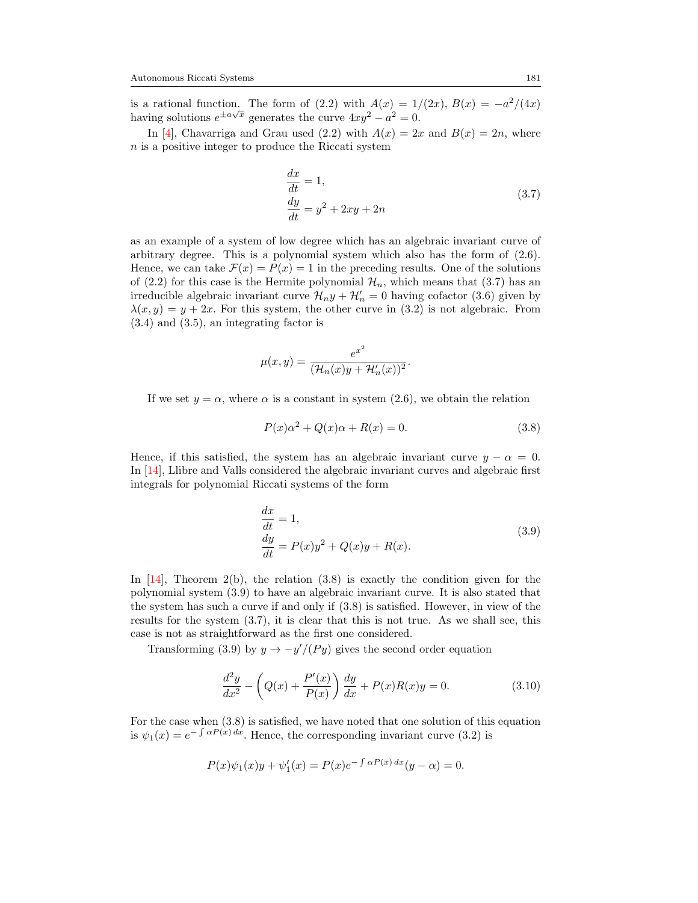is a rational function. The form of [\(2.2\)](#page-3-1) with  $A(x) = 1/(2x)$ ,  $B(x) = -a^2/(4x)$  $\alpha$  rational function. The form of  $(2.2)$  with  $\alpha$   $(2.4) = 1/2$ <br>having solutions  $e^{\pm a\sqrt{x}}$  generates the curve  $4xy^2 - a^2 = 0$ .

In [\[4\]](#page-25-7), Chavarriga and Grau used [\(2.2\)](#page-3-1) with  $A(x) = 2x$  and  $B(x) = 2n$ , where n is a positive integer to produce the Riccati system

$$
\begin{aligned} \frac{dx}{dt} &= 1, \\ \frac{dy}{dt} &= y^2 + 2xy + 2n \end{aligned} \tag{3.7}
$$

<span id="page-10-1"></span>as an example of a system of low degree which has an algebraic invariant curve of arbitrary degree. This is a polynomial system which also has the form of  $(2.6)$ . Hence, we can take  $\mathcal{F}(x) = P(x) = 1$  in the preceding results. One of the solutions of [\(2.2\)](#page-3-1) for this case is the Hermite polynomial  $\mathcal{H}_n$ , which means that [\(3.7\)](#page-10-1) has an irreducible algebraic invariant curve  $\mathcal{H}_n y + \mathcal{H}'_n = 0$  having cofactor [\(3.6\)](#page-9-2) given by  $\lambda(x, y) = y + 2x$ . For this system, the other curve in [\(3.2\)](#page-8-0) is not algebraic. From [\(3.4\)](#page-9-1) and [\(3.5\)](#page-9-0), an integrating factor is

$$
\mu(x,y) = \frac{e^{x^2}}{(\mathcal{H}_n(x)y + \mathcal{H}'_n(x))^2}.
$$

If we set  $y = \alpha$ , where  $\alpha$  is a constant in system [\(2.6\)](#page-4-1), we obtain the relation

<span id="page-10-2"></span>
$$
P(x)\alpha^{2} + Q(x)\alpha + R(x) = 0.
$$
 (3.8)

Hence, if this satisfied, the system has an algebraic invariant curve  $y - \alpha = 0$ . In [\[14\]](#page-25-2), Llibre and Valls considered the algebraic invariant curves and algebraic first integrals for polynomial Riccati systems of the form

$$
\begin{aligned} \frac{dx}{dt} &= 1, \\ \frac{dy}{dt} &= P(x)y^2 + Q(x)y + R(x). \end{aligned} \tag{3.9}
$$

<span id="page-10-0"></span>In  $[14]$ , Theorem 2(b), the relation [\(3.8\)](#page-10-2) is exactly the condition given for the polynomial system [\(3.9\)](#page-10-0) to have an algebraic invariant curve. It is also stated that the system has such a curve if and only if [\(3.8\)](#page-10-2) is satisfied. However, in view of the results for the system [\(3.7\)](#page-10-1), it is clear that this is not true. As we shall see, this case is not as straightforward as the first one considered.

Transforming [\(3.9\)](#page-10-0) by  $y \to -y'/(Py)$  gives the second order equation

<span id="page-10-3"></span>
$$
\frac{d^2y}{dx^2} - \left(Q(x) + \frac{P'(x)}{P(x)}\right)\frac{dy}{dx} + P(x)R(x)y = 0.
$$
\n(3.10)

For the case when [\(3.8\)](#page-10-2) is satisfied, we have noted that one solution of this equation is  $\psi_1(x) = e^{-\int \alpha P(x) dx}$ . Hence, the corresponding invariant curve [\(3.2\)](#page-8-0) is

$$
P(x)\psi_1(x)y + \psi'_1(x) = P(x)e^{-\int \alpha P(x) dx} (y - \alpha) = 0.
$$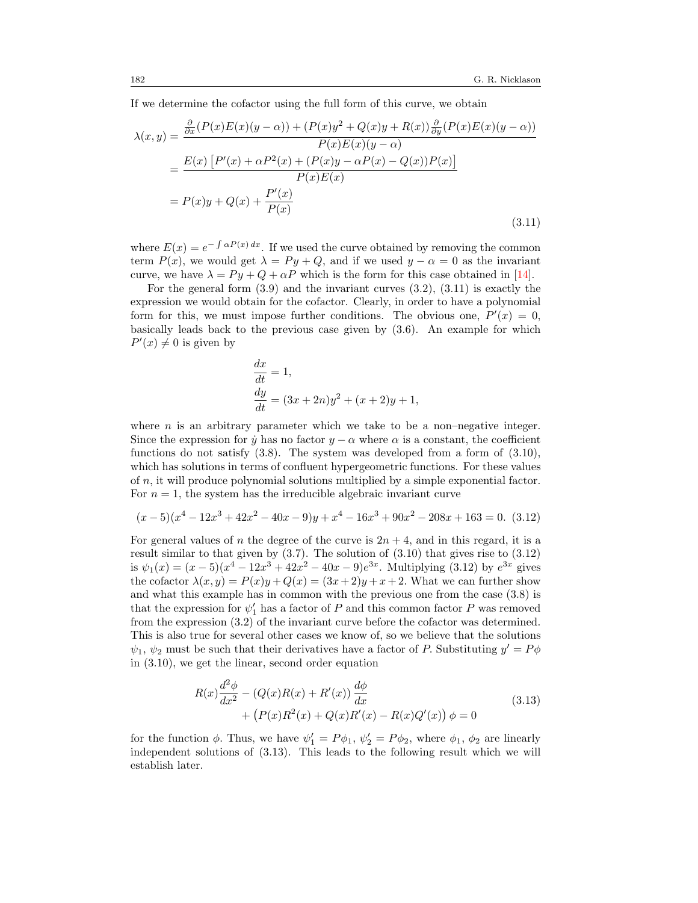If we determine the cofactor using the full form of this curve, we obtain

<span id="page-11-0"></span>
$$
\lambda(x,y) = \frac{\frac{\partial}{\partial x}(P(x)E(x)(y-\alpha)) + (P(x)y^2 + Q(x)y + R(x))\frac{\partial}{\partial y}(P(x)E(x)(y-\alpha))}{P(x)E(x)(y-\alpha)}
$$

$$
= \frac{E(x)[P'(x) + \alpha P^2(x) + (P(x)y - \alpha P(x) - Q(x))P(x)]}{P(x)E(x)}
$$

$$
= P(x)y + Q(x) + \frac{P'(x)}{P(x)}
$$
(3.11)

where  $E(x) = e^{-\int \alpha P(x) dx}$ . If we used the curve obtained by removing the common term  $P(x)$ , we would get  $\lambda = Py + Q$ , and if we used  $y - \alpha = 0$  as the invariant curve, we have  $\lambda = Py + Q + \alpha P$  which is the form for this case obtained in [\[14\]](#page-25-2).

For the general form  $(3.9)$  and the invariant curves  $(3.2)$ ,  $(3.11)$  is exactly the expression we would obtain for the cofactor. Clearly, in order to have a polynomial form for this, we must impose further conditions. The obvious one,  $P'(x) = 0$ , basically leads back to the previous case given by [\(3.6\)](#page-9-2). An example for which  $P'(x) \neq 0$  is given by

$$
\begin{aligned}\n\frac{dx}{dt} &= 1, \\
\frac{dy}{dt} &= (3x + 2n)y^2 + (x + 2)y + 1,\n\end{aligned}
$$

where  $n$  is an arbitrary parameter which we take to be a non-negative integer. Since the expression for  $\dot{y}$  has no factor  $y - \alpha$  where  $\alpha$  is a constant, the coefficient functions do not satisfy [\(3.8\)](#page-10-2). The system was developed from a form of [\(3.10\)](#page-10-3), which has solutions in terms of confluent hypergeometric functions. For these values of n, it will produce polynomial solutions multiplied by a simple exponential factor. For  $n = 1$ , the system has the irreducible algebraic invariant curve

<span id="page-11-1"></span>
$$
(x-5)(x4 - 12x3 + 42x2 - 40x - 9)y + x4 - 16x3 + 90x2 - 208x + 163 = 0.
$$
 (3.12)

For general values of n the degree of the curve is  $2n + 4$ , and in this regard, it is a result similar to that given by  $(3.7)$ . The solution of  $(3.10)$  that gives rise to  $(3.12)$ is  $\psi_1(x) = (x-5)(x^4 - 12x^3 + 42x^2 - 40x - 9)e^{3x}$ . Multiplying [\(3.12\)](#page-11-1) by  $e^{3x}$  gives the cofactor  $\lambda(x, y) = P(x)y + Q(x) = (3x+2)y + x+2$ . What we can further show and what this example has in common with the previous one from the case [\(3.8\)](#page-10-2) is that the expression for  $\psi'_1$  has a factor of P and this common factor P was removed from the expression [\(3.2\)](#page-8-0) of the invariant curve before the cofactor was determined. This is also true for several other cases we know of, so we believe that the solutions  $\psi_1, \psi_2$  must be such that their derivatives have a factor of P. Substituting  $y' = P\phi$ in [\(3.10\)](#page-10-3), we get the linear, second order equation

$$
R(x)\frac{d^2\phi}{dx^2} - (Q(x)R(x) + R'(x))\frac{d\phi}{dx} + (P(x)R^2(x) + Q(x)R'(x) - R(x)Q'(x)) \phi = 0
$$
\n(3.13)

<span id="page-11-2"></span>for the function  $\phi$ . Thus, we have  $\psi'_1 = P\phi_1$ ,  $\psi'_2 = P\phi_2$ , where  $\phi_1$ ,  $\phi_2$  are linearly independent solutions of [\(3.13\)](#page-11-2). This leads to the following result which we will establish later.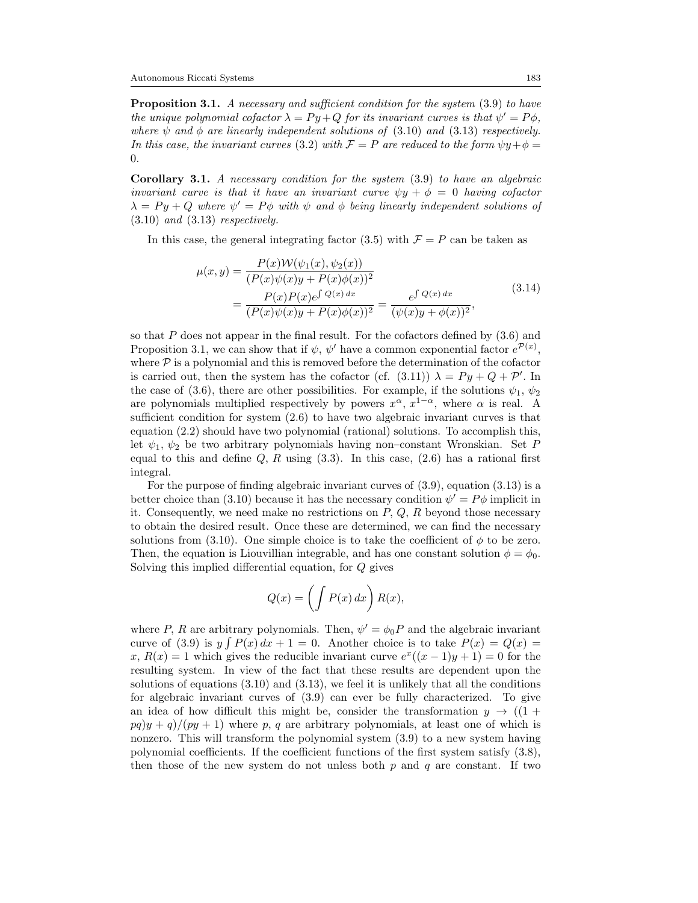<span id="page-12-0"></span>**Proposition 3.1.** A necessary and sufficient condition for the system [\(3.9\)](#page-10-0) to have the unique polynomial cofactor  $\lambda = Py + Q$  for its invariant curves is that  $\psi' = P\phi$ , where  $\psi$  and  $\phi$  are linearly independent solutions of [\(3.10\)](#page-10-3) and [\(3.13\)](#page-11-2) respectively. In this case, the invariant curves [\(3.2\)](#page-8-0) with  $\mathcal{F} = P$  are reduced to the form  $\psi y + \phi =$ 0.

Corollary 3.1. A necessary condition for the system [\(3.9\)](#page-10-0) to have an algebraic invariant curve is that it have an invariant curve  $\psi y + \phi = 0$  having cofactor  $\lambda = Py + Q$  where  $\psi' = P\phi$  with  $\psi$  and  $\phi$  being linearly independent solutions of [\(3.10\)](#page-10-3) and [\(3.13\)](#page-11-2) respectively.

<span id="page-12-1"></span>In this case, the general integrating factor [\(3.5\)](#page-9-0) with  $\mathcal{F} = P$  can be taken as

$$
\mu(x,y) = \frac{P(x)\mathcal{W}(\psi_1(x), \psi_2(x))}{(P(x)\psi(x)y + P(x)\phi(x))^2} \n= \frac{P(x)P(x)e^{\int Q(x)dx}}{(P(x)\psi(x)y + P(x)\phi(x))^2} = \frac{e^{\int Q(x)dx}}{(\psi(x)y + \phi(x))^2},
$$
\n(3.14)

so that  $P$  does not appear in the final result. For the cofactors defined by  $(3.6)$  and Proposition [3.1,](#page-12-0) we can show that if  $\psi$ ,  $\psi'$  have a common exponential factor  $e^{\mathcal{P}(x)}$ , where  $P$  is a polynomial and this is removed before the determination of the cofactor is carried out, then the system has the cofactor (cf.  $(3.11)$ )  $\lambda = Py + Q + P'$ . In the case of [\(3.6\)](#page-9-2), there are other possibilities. For example, if the solutions  $\psi_1, \psi_2$ are polynomials multiplied respectively by powers  $x^{\alpha}, x^{1-\alpha}$ , where  $\alpha$  is real. A sufficient condition for system [\(2.6\)](#page-4-1) to have two algebraic invariant curves is that equation [\(2.2\)](#page-3-1) should have two polynomial (rational) solutions. To accomplish this, let  $\psi_1, \psi_2$  be two arbitrary polynomials having non–constant Wronskian. Set P equal to this and define  $Q, R$  using  $(3.3)$ . In this case,  $(2.6)$  has a rational first integral.

For the purpose of finding algebraic invariant curves of [\(3.9\)](#page-10-0), equation [\(3.13\)](#page-11-2) is a better choice than [\(3.10\)](#page-10-3) because it has the necessary condition  $\psi' = P\phi$  implicit in it. Consequently, we need make no restrictions on  $P$ ,  $Q$ ,  $R$  beyond those necessary to obtain the desired result. Once these are determined, we can find the necessary solutions from [\(3.10\)](#page-10-3). One simple choice is to take the coefficient of  $\phi$  to be zero. Then, the equation is Liouvillian integrable, and has one constant solution  $\phi = \phi_0$ . Solving this implied differential equation, for Q gives

$$
Q(x) = \left(\int P(x) \, dx\right) R(x),
$$

where P, R are arbitrary polynomials. Then,  $\psi' = \phi_0 P$  and the algebraic invariant curve of [\(3.9\)](#page-10-0) is  $y \int P(x) dx + 1 = 0$ . Another choice is to take  $P(x) = Q(x) =$ x,  $R(x) = 1$  which gives the reducible invariant curve  $e^x((x-1)y+1) = 0$  for the resulting system. In view of the fact that these results are dependent upon the solutions of equations  $(3.10)$  and  $(3.13)$ , we feel it is unlikely that all the conditions for algebraic invariant curves of [\(3.9\)](#page-10-0) can ever be fully characterized. To give an idea of how difficult this might be, consider the transformation  $y \rightarrow ((1 +$  $pq(y + q)/(py + 1)$  where p, q are arbitrary polynomials, at least one of which is nonzero. This will transform the polynomial system [\(3.9\)](#page-10-0) to a new system having polynomial coefficients. If the coefficient functions of the first system satisfy [\(3.8\)](#page-10-2), then those of the new system do not unless both  $p$  and  $q$  are constant. If two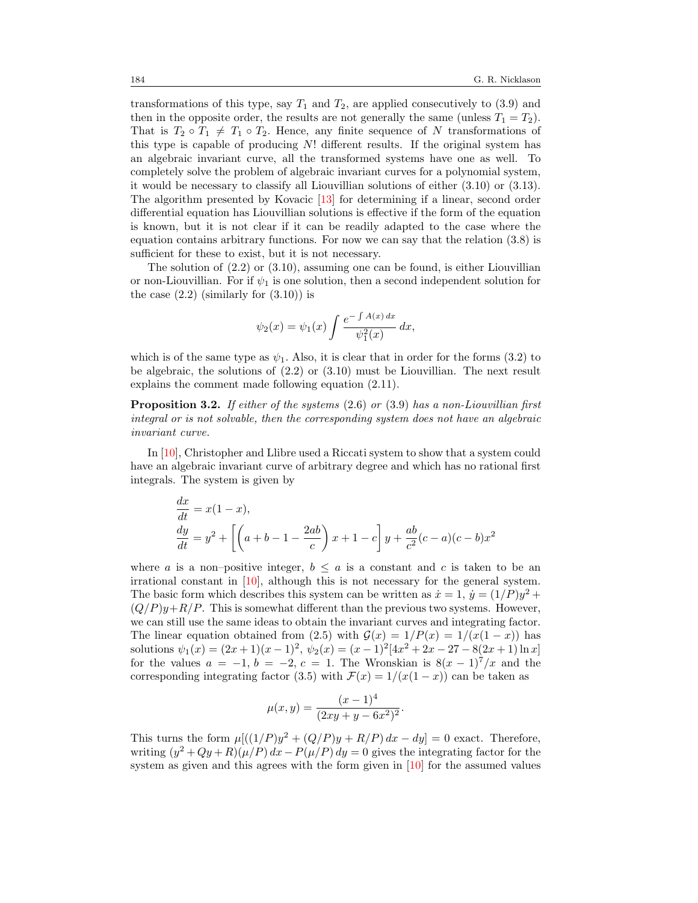transformations of this type, say  $T_1$  and  $T_2$ , are applied consecutively to [\(3.9\)](#page-10-0) and then in the opposite order, the results are not generally the same (unless  $T_1 = T_2$ ). That is  $T_2 \circ T_1 \neq T_1 \circ T_2$ . Hence, any finite sequence of N transformations of this type is capable of producing N! different results. If the original system has an algebraic invariant curve, all the transformed systems have one as well. To completely solve the problem of algebraic invariant curves for a polynomial system, it would be necessary to classify all Liouvillian solutions of either [\(3.10\)](#page-10-3) or [\(3.13\)](#page-11-2). The algorithm presented by Kovacic [\[13\]](#page-25-8) for determining if a linear, second order differential equation has Liouvillian solutions is effective if the form of the equation is known, but it is not clear if it can be readily adapted to the case where the equation contains arbitrary functions. For now we can say that the relation [\(3.8\)](#page-10-2) is sufficient for these to exist, but it is not necessary.

The solution of  $(2.2)$  or  $(3.10)$ , assuming one can be found, is either Liouvillian or non-Liouvillian. For if  $\psi_1$  is one solution, then a second independent solution for the case  $(2.2)$  (similarly for  $(3.10)$ ) is

$$
\psi_2(x) = \psi_1(x) \int \frac{e^{-\int A(x) dx}}{\psi_1^2(x)} dx,
$$

which is of the same type as  $\psi_1$ . Also, it is clear that in order for the forms [\(3.2\)](#page-8-0) to be algebraic, the solutions of  $(2.2)$  or  $(3.10)$  must be Liouvillian. The next result explains the comment made following equation [\(2.11\)](#page-5-2).

Proposition 3.2. If either of the systems [\(2.6\)](#page-4-1) or [\(3.9\)](#page-10-0) has a non-Liouvillian first integral or is not solvable, then the corresponding system does not have an algebraic invariant curve.

In [\[10\]](#page-25-9), Christopher and Llibre used a Riccati system to show that a system could have an algebraic invariant curve of arbitrary degree and which has no rational first integrals. The system is given by

$$
\begin{aligned}\n\frac{dx}{dt} &= x(1-x), \\
\frac{dy}{dt} &= y^2 + \left[ \left( a + b - 1 - \frac{2ab}{c} \right) x + 1 - c \right] y + \frac{ab}{c^2} (c - a)(c - b)x^2\n\end{aligned}
$$

where a is a non–positive integer,  $b \le a$  is a constant and c is taken to be an irrational constant in [\[10\]](#page-25-9), although this is not necessary for the general system. The basic form which describes this system can be written as  $\dot{x} = 1$ ,  $\dot{y} = (1/P)y^2 +$  $(Q/P)y+R/P$ . This is somewhat different than the previous two systems. However, we can still use the same ideas to obtain the invariant curves and integrating factor. The linear equation obtained from [\(2.5\)](#page-4-5) with  $\mathcal{G}(x) = 1/P(x) = 1/(x(1-x))$  has solutions  $\psi_1(x) = (2x+1)(x-1)^2$ ,  $\psi_2(x) = (x-1)^2[4x^2+2x-27-8(2x+1)\ln x]$ for the values  $a = -1$ ,  $b = -2$ ,  $c = 1$ . The Wronskian is  $8(x - 1)^7/x$  and the corresponding integrating factor [\(3.5\)](#page-9-0) with  $\mathcal{F}(x) = 1/(x(1-x))$  can be taken as

$$
\mu(x,y) = \frac{(x-1)^4}{(2xy+y-6x^2)^2}.
$$

This turns the form  $\mu[((1/P)y^2 + (Q/P)y + R/P) dx - dy] = 0$  exact. Therefore, writing  $(y^2 + Qy + R)(\mu/P) dx - P(\mu/P) dy = 0$  gives the integrating factor for the system as given and this agrees with the form given in [\[10\]](#page-25-9) for the assumed values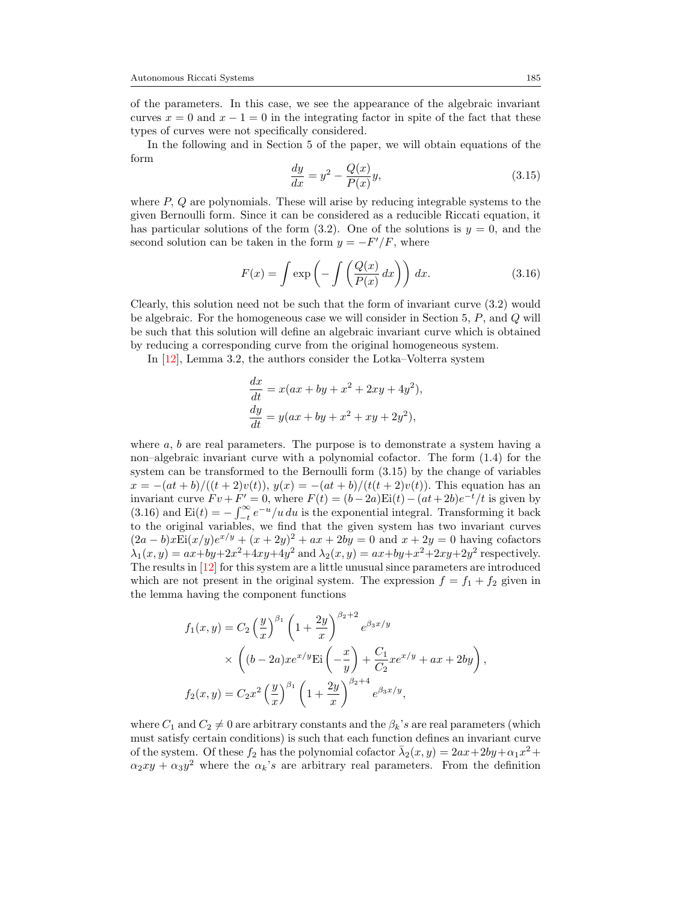of the parameters. In this case, we see the appearance of the algebraic invariant curves  $x = 0$  and  $x - 1 = 0$  in the integrating factor in spite of the fact that these types of curves were not specifically considered.

In the following and in Section 5 of the paper, we will obtain equations of the form

<span id="page-14-0"></span>
$$
\frac{dy}{dx} = y^2 - \frac{Q(x)}{P(x)}y,\tag{3.15}
$$

where  $P$ ,  $Q$  are polynomials. These will arise by reducing integrable systems to the given Bernoulli form. Since it can be considered as a reducible Riccati equation, it has particular solutions of the form  $(3.2)$ . One of the solutions is  $y = 0$ , and the second solution can be taken in the form  $y = -F'/F$ , where

<span id="page-14-1"></span>
$$
F(x) = \int \exp\left(-\int \left(\frac{Q(x)}{P(x)} dx\right)\right) dx.
$$
 (3.16)

Clearly, this solution need not be such that the form of invariant curve [\(3.2\)](#page-8-0) would be algebraic. For the homogeneous case we will consider in Section 5,  $P$ , and  $Q$  will be such that this solution will define an algebraic invariant curve which is obtained by reducing a corresponding curve from the original homogeneous system.

In [\[12\]](#page-25-6), Lemma 3.2, the authors consider the Lotka–Volterra system

$$
\frac{dx}{dt} = x(ax + by + x2 + 2xy + 4y2),
$$
  
\n
$$
\frac{dy}{dt} = y(ax + by + x2 + xy + 2y2),
$$

where  $a, b$  are real parameters. The purpose is to demonstrate a system having a non–algebraic invariant curve with a polynomial cofactor. The form [\(1.4\)](#page-1-0) for the system can be transformed to the Bernoulli form [\(3.15\)](#page-14-0) by the change of variables  $x = -(at + b)/(t + 2)v(t)$ ,  $y(x) = -(at + b)/(t(t + 2)v(t))$ . This equation has an invariant curve  $Fv + F' = 0$ , where  $F(t) = (b - 2a) \text{Ei}(t) - (at + 2b)e^{-t}/t$  is given by [\(3.16\)](#page-14-1) and  $\text{Ei}(t) = -\int_{-t}^{\infty} e^{-u}/u \, du$  is the exponential integral. Transforming it back to the original variables, we find that the given system has two invariant curves  $(2a - b) x \text{Ei}(x/y) e^{x/y} + (x + 2y)^2 + ax + 2by = 0$  and  $x + 2y = 0$  having cofactors  $\lambda_1(x, y) = ax + by + 2x^2 + 4xy + 4y^2$  and  $\lambda_2(x, y) = ax + by + x^2 + 2xy + 2y^2$  respectively. The results in [\[12\]](#page-25-6) for this system are a little unusual since parameters are introduced which are not present in the original system. The expression  $f = f_1 + f_2$  given in the lemma having the component functions

$$
f_1(x,y) = C_2 \left(\frac{y}{x}\right)^{\beta_1} \left(1 + \frac{2y}{x}\right)^{\beta_2 + 2} e^{\beta_3 x/y}
$$
  
 
$$
\times \left( (b - 2a) x e^{x/y} \text{Ei} \left( -\frac{x}{y} \right) + \frac{C_1}{C_2} x e^{x/y} + ax + 2by \right),
$$
  
\n
$$
f_2(x,y) = C_2 x^2 \left(\frac{y}{x}\right)^{\beta_1} \left(1 + \frac{2y}{x}\right)^{\beta_2 + 4} e^{\beta_3 x/y},
$$

where  $C_1$  and  $C_2 \neq 0$  are arbitrary constants and the  $\beta_k$ 's are real parameters (which must satisfy certain conditions) is such that each function defines an invariant curve of the system. Of these  $f_2$  has the polynomial cofactor  $\bar{\lambda}_2(x,y) = 2ax + 2by + \alpha_1x^2 +$  $\alpha_2 xy + \alpha_3 y^2$  where the  $\alpha_k$ 's are arbitrary real parameters. From the definition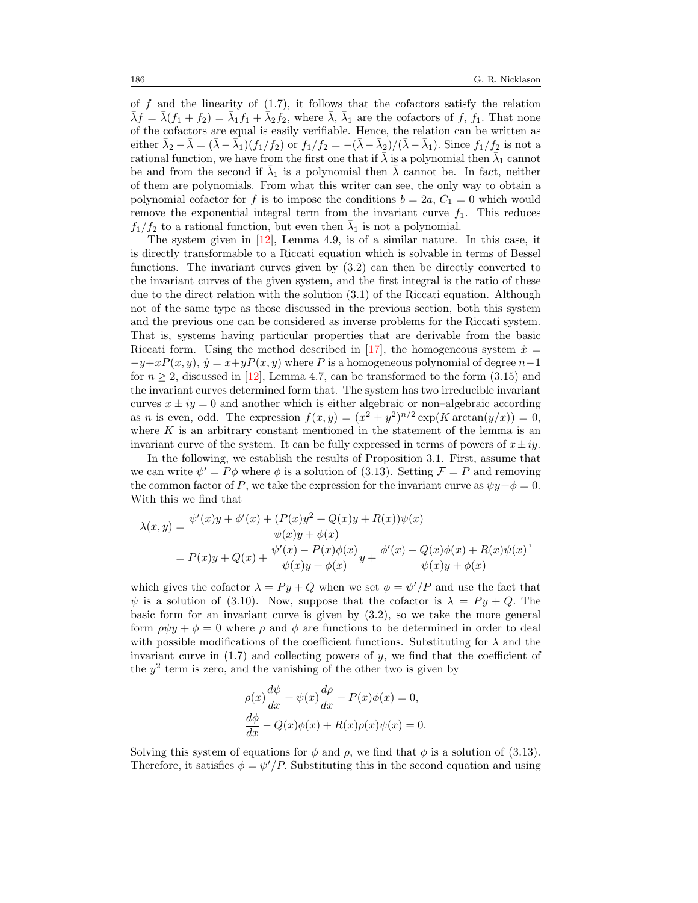of f and the linearity of  $(1.7)$ , it follows that the cofactors satisfy the relation  $\bar{\lambda}f = \bar{\lambda}(f_1 + f_2) = \bar{\lambda}_1 f_1 + \bar{\lambda}_2 f_2$ , where  $\bar{\lambda}$ ,  $\bar{\lambda}_1$  are the cofactors of f,  $f_1$ . That none of the cofactors are equal is easily verifiable. Hence, the relation can be written as either  $\bar{\lambda}_2 - \bar{\lambda} = (\bar{\lambda} - \bar{\lambda}_1)(f_1/f_2)$  or  $f_1/f_2 = -(\bar{\lambda} - \bar{\lambda}_2)/(\bar{\lambda} - \bar{\lambda}_1)$ . Since  $f_1/f_2$  is not a rational function, we have from the first one that if  $\bar{\lambda}$  is a polynomial then  $\bar{\lambda}_1$  cannot be and from the second if  $\bar{\lambda}_1$  is a polynomial then  $\bar{\lambda}$  cannot be. In fact, neither of them are polynomials. From what this writer can see, the only way to obtain a polynomial cofactor for f is to impose the conditions  $b = 2a, C_1 = 0$  which would remove the exponential integral term from the invariant curve  $f_1$ . This reduces  $f_1/f_2$  to a rational function, but even then  $\bar{\lambda}_1$  is not a polynomial.

The system given in [\[12\]](#page-25-6), Lemma 4.9, is of a similar nature. In this case, it is directly transformable to a Riccati equation which is solvable in terms of Bessel functions. The invariant curves given by [\(3.2\)](#page-8-0) can then be directly converted to the invariant curves of the given system, and the first integral is the ratio of these due to the direct relation with the solution [\(3.1\)](#page-8-1) of the Riccati equation. Although not of the same type as those discussed in the previous section, both this system and the previous one can be considered as inverse problems for the Riccati system. That is, systems having particular properties that are derivable from the basic Riccati form. Using the method described in [\[17\]](#page-25-1), the homogeneous system  $\dot{x} =$  $-y+xP(x, y), \dot{y} = x+yP(x, y)$  where P is a homogeneous polynomial of degree  $n-1$ for  $n \geq 2$ , discussed in [\[12\]](#page-25-6), Lemma 4.7, can be transformed to the form [\(3.15\)](#page-14-0) and the invariant curves determined form that. The system has two irreducible invariant curves  $x \pm iy = 0$  and another which is either algebraic or non-algebraic according as *n* is even, odd. The expression  $f(x,y) = (x^2 + y^2)^{n/2} \exp(K \arctan(y/x)) = 0$ , where  $K$  is an arbitrary constant mentioned in the statement of the lemma is an invariant curve of the system. It can be fully expressed in terms of powers of  $x \pm iy$ .

In the following, we establish the results of Proposition [3.1.](#page-12-0) First, assume that we can write  $\psi' = P\phi$  where  $\phi$  is a solution of [\(3.13\)](#page-11-2). Setting  $\mathcal{F} = P$  and removing the common factor of P, we take the expression for the invariant curve as  $\psi y + \phi = 0$ . With this we find that

$$
\lambda(x,y) = \frac{\psi'(x)y + \phi'(x) + (P(x)y^2 + Q(x)y + R(x))\psi(x)}{\psi(x)y + \phi(x)} \n= P(x)y + Q(x) + \frac{\psi'(x) - P(x)\phi(x)}{\psi(x)y + \phi(x)}y + \frac{\phi'(x) - Q(x)\phi(x) + R(x)\psi(x)}{\psi(x)y + \phi(x)}.
$$

which gives the cofactor  $\lambda = Py + Q$  when we set  $\phi = \psi'/P$  and use the fact that  $\psi$  is a solution of [\(3.10\)](#page-10-3). Now, suppose that the cofactor is  $\lambda = Py + Q$ . The basic form for an invariant curve is given by  $(3.2)$ , so we take the more general form  $\rho \psi y + \phi = 0$  where  $\rho$  and  $\phi$  are functions to be determined in order to deal with possible modifications of the coefficient functions. Substituting for  $\lambda$  and the invariant curve in  $(1.7)$  and collecting powers of y, we find that the coefficient of the  $y^2$  term is zero, and the vanishing of the other two is given by

$$
\rho(x)\frac{d\psi}{dx} + \psi(x)\frac{d\rho}{dx} - P(x)\phi(x) = 0,
$$
  

$$
\frac{d\phi}{dx} - Q(x)\phi(x) + R(x)\rho(x)\psi(x) = 0.
$$

Solving this system of equations for  $\phi$  and  $\rho$ , we find that  $\phi$  is a solution of [\(3.13\)](#page-11-2). Therefore, it satisfies  $\phi = \psi'/P$ . Substituting this in the second equation and using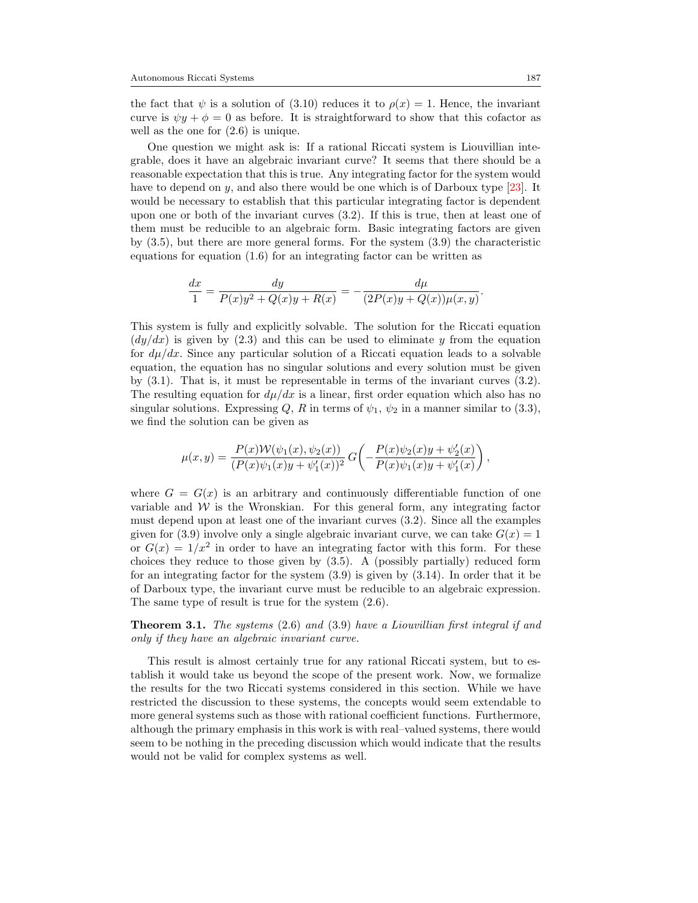the fact that  $\psi$  is a solution of [\(3.10\)](#page-10-3) reduces it to  $\rho(x) = 1$ . Hence, the invariant curve is  $\psi y + \phi = 0$  as before. It is straightforward to show that this cofactor as well as the one for [\(2.6\)](#page-4-1) is unique.

One question we might ask is: If a rational Riccati system is Liouvillian integrable, does it have an algebraic invariant curve? It seems that there should be a reasonable expectation that this is true. Any integrating factor for the system would have to depend on y, and also there would be one which is of Darboux type [\[23\]](#page-26-2). It would be necessary to establish that this particular integrating factor is dependent upon one or both of the invariant curves [\(3.2\)](#page-8-0). If this is true, then at least one of them must be reducible to an algebraic form. Basic integrating factors are given by [\(3.5\)](#page-9-0), but there are more general forms. For the system [\(3.9\)](#page-10-0) the characteristic equations for equation [\(1.6\)](#page-1-3) for an integrating factor can be written as

$$
\frac{dx}{1} = \frac{dy}{P(x)y^2 + Q(x)y + R(x)} = -\frac{d\mu}{(2P(x)y + Q(x))\mu(x, y)}.
$$

This system is fully and explicitly solvable. The solution for the Riccati equation  $\left(\frac{dy}{dx}\right)$  is given by [\(2.3\)](#page-4-4) and this can be used to eliminate y from the equation for  $d\mu/dx$ . Since any particular solution of a Riccati equation leads to a solvable equation, the equation has no singular solutions and every solution must be given by [\(3.1\)](#page-8-1). That is, it must be representable in terms of the invariant curves [\(3.2\)](#page-8-0). The resulting equation for  $d\mu/dx$  is a linear, first order equation which also has no singular solutions. Expressing Q, R in terms of  $\psi_1$ ,  $\psi_2$  in a manner similar to [\(3.3\)](#page-9-3), we find the solution can be given as

$$
\mu(x,y) = \frac{P(x)\mathcal{W}(\psi_1(x),\psi_2(x))}{(P(x)\psi_1(x)y + \psi'_1(x))^2} G\left(-\frac{P(x)\psi_2(x)y + \psi'_2(x)}{P(x)\psi_1(x)y + \psi'_1(x)}\right),
$$

where  $G = G(x)$  is an arbitrary and continuously differentiable function of one variable and  $W$  is the Wronskian. For this general form, any integrating factor must depend upon at least one of the invariant curves [\(3.2\)](#page-8-0). Since all the examples given for [\(3.9\)](#page-10-0) involve only a single algebraic invariant curve, we can take  $G(x) = 1$ or  $G(x) = 1/x^2$  in order to have an integrating factor with this form. For these choices they reduce to those given by [\(3.5\)](#page-9-0). A (possibly partially) reduced form for an integrating factor for the system [\(3.9\)](#page-10-0) is given by [\(3.14\)](#page-12-1). In order that it be of Darboux type, the invariant curve must be reducible to an algebraic expression. The same type of result is true for the system [\(2.6\)](#page-4-1).

Theorem 3.1. The systems [\(2.6\)](#page-4-1) and [\(3.9\)](#page-10-0) have a Liouvillian first integral if and only if they have an algebraic invariant curve.

This result is almost certainly true for any rational Riccati system, but to establish it would take us beyond the scope of the present work. Now, we formalize the results for the two Riccati systems considered in this section. While we have restricted the discussion to these systems, the concepts would seem extendable to more general systems such as those with rational coefficient functions. Furthermore, although the primary emphasis in this work is with real–valued systems, there would seem to be nothing in the preceding discussion which would indicate that the results would not be valid for complex systems as well.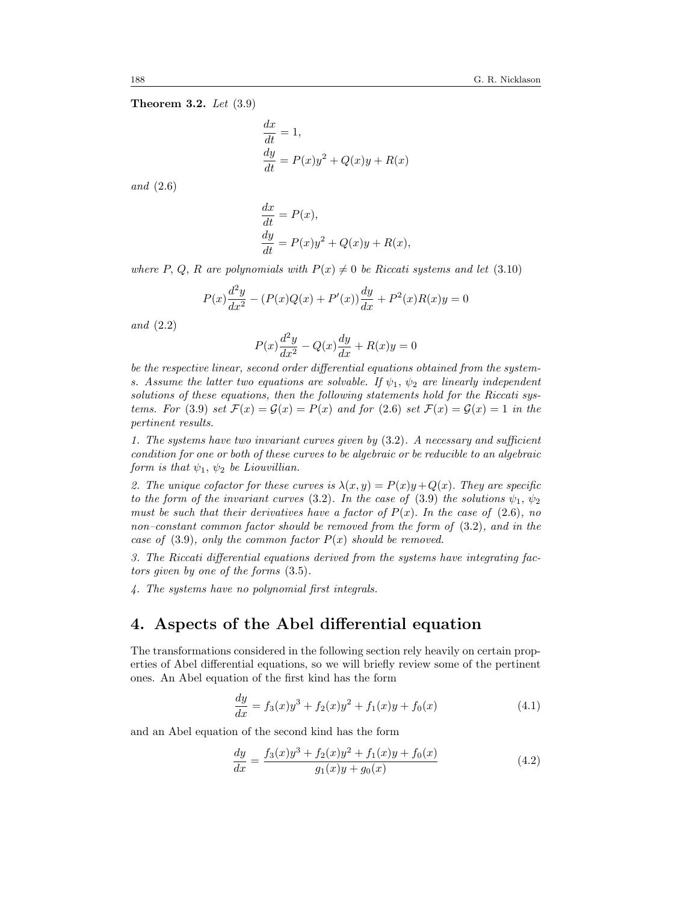#### Theorem 3.2. Let [\(3.9\)](#page-10-0)

$$
\frac{dx}{dt} = 1,\n \frac{dy}{dt} = P(x)y^2 + Q(x)y + R(x)
$$

and [\(2.6\)](#page-4-1)

$$
\frac{dx}{dt} = P(x),
$$
  
\n
$$
\frac{dy}{dt} = P(x)y^{2} + Q(x)y + R(x),
$$

where P, Q, R are polynomials with  $P(x) \neq 0$  be Riccati systems and let [\(3.10\)](#page-10-3)

$$
P(x)\frac{d^2y}{dx^2} - (P(x)Q(x) + P'(x))\frac{dy}{dx} + P^2(x)R(x)y = 0
$$

and [\(2.2\)](#page-3-1)

$$
P(x)\frac{d^2y}{dx^2} - Q(x)\frac{dy}{dx} + R(x)y = 0
$$

be the respective linear, second order differential equations obtained from the systems. Assume the latter two equations are solvable. If  $\psi_1$ ,  $\psi_2$  are linearly independent solutions of these equations, then the following statements hold for the Riccati sys-tems. For [\(3.9\)](#page-10-0) set  $\mathcal{F}(x) = \mathcal{G}(x) = P(x)$  and for [\(2.6\)](#page-4-1) set  $\mathcal{F}(x) = \mathcal{G}(x) = 1$  in the pertinent results.

1. The systems have two invariant curves given by [\(3.2\)](#page-8-0). A necessary and sufficient condition for one or both of these curves to be algebraic or be reducible to an algebraic form is that  $\psi_1, \psi_2$  be Liouvillian.

2. The unique cofactor for these curves is  $\lambda(x, y) = P(x)y + Q(x)$ . They are specific to the form of the invariant curves [\(3.2\)](#page-8-0). In the case of [\(3.9\)](#page-10-0) the solutions  $\psi_1, \psi_2$ must be such that their derivatives have a factor of  $P(x)$ . In the case of [\(2.6\)](#page-4-1), no non–constant common factor should be removed from the form of [\(3.2\)](#page-8-0), and in the case of  $(3.9)$ , only the common factor  $P(x)$  should be removed.

3. The Riccati differential equations derived from the systems have integrating factors given by one of the forms [\(3.5\)](#page-9-0).

4. The systems have no polynomial first integrals.

## 4. Aspects of the Abel differential equation

The transformations considered in the following section rely heavily on certain properties of Abel differential equations, so we will briefly review some of the pertinent ones. An Abel equation of the first kind has the form

<span id="page-17-0"></span>
$$
\frac{dy}{dx} = f_3(x)y^3 + f_2(x)y^2 + f_1(x)y + f_0(x)
$$
\n(4.1)

and an Abel equation of the second kind has the form

<span id="page-17-1"></span>
$$
\frac{dy}{dx} = \frac{f_3(x)y^3 + f_2(x)y^2 + f_1(x)y + f_0(x)}{g_1(x)y + g_0(x)}\tag{4.2}
$$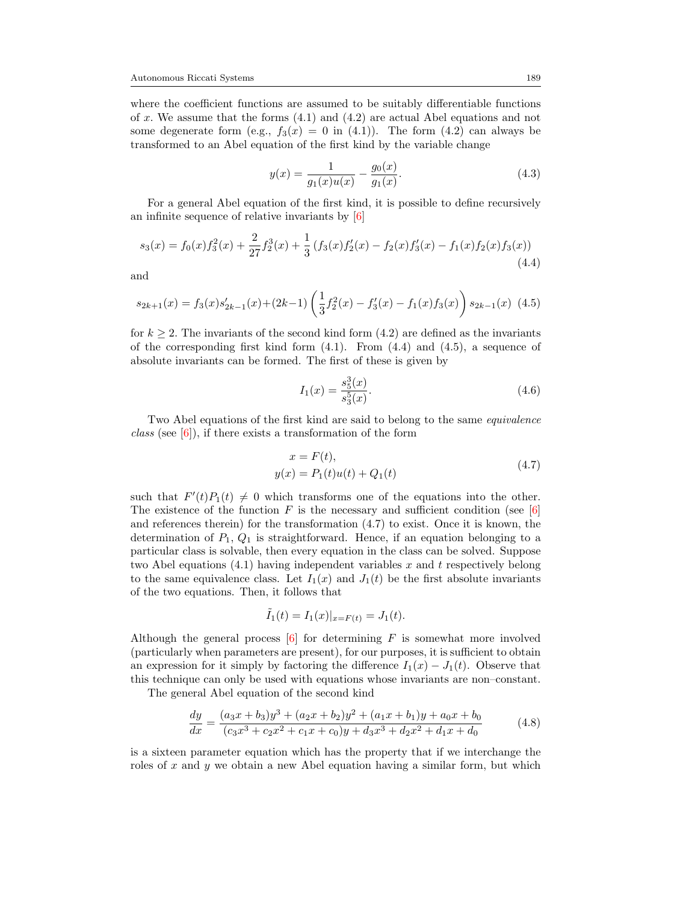where the coefficient functions are assumed to be suitably differentiable functions of x. We assume that the forms  $(4.1)$  and  $(4.2)$  are actual Abel equations and not some degenerate form (e.g.,  $f_3(x) = 0$  in [\(4.1\)](#page-17-0)). The form [\(4.2\)](#page-17-1) can always be transformed to an Abel equation of the first kind by the variable change

<span id="page-18-3"></span>
$$
y(x) = \frac{1}{g_1(x)u(x)} - \frac{g_0(x)}{g_1(x)}.
$$
\n(4.3)

For a general Abel equation of the first kind, it is possible to define recursively an infinite sequence of relative invariants by [\[6\]](#page-25-10)

<span id="page-18-0"></span>
$$
s_3(x) = f_0(x)f_3^2(x) + \frac{2}{27}f_2^3(x) + \frac{1}{3}(f_3(x)f_2'(x) - f_2(x)f_3'(x) - f_1(x)f_2(x)f_3(x))
$$
\n(4.4)

and

<span id="page-18-1"></span>
$$
s_{2k+1}(x) = f_3(x)s'_{2k-1}(x) + (2k-1)\left(\frac{1}{3}f_2^2(x) - f_3'(x) - f_1(x)f_3(x)\right)s_{2k-1}(x)
$$
(4.5)

for  $k \geq 2$ . The invariants of the second kind form  $(4.2)$  are defined as the invariants of the corresponding first kind form  $(4.1)$ . From  $(4.4)$  and  $(4.5)$ , a sequence of absolute invariants can be formed. The first of these is given by

<span id="page-18-4"></span>
$$
I_1(x) = \frac{s_5^3(x)}{s_3^5(x)}.\t(4.6)
$$

Two Abel equations of the first kind are said to belong to the same equivalence *class* (see  $[6]$ ), if there exists a transformation of the form

$$
x = F(t),
$$
  
y(x) = P<sub>1</sub>(t)u(t) + Q<sub>1</sub>(t) (4.7)

<span id="page-18-2"></span>such that  $F'(t)P_1(t) \neq 0$  which transforms one of the equations into the other. The existence of the function  $F$  is the necessary and sufficient condition (see [\[6\]](#page-25-10) and references therein) for the transformation [\(4.7\)](#page-18-2) to exist. Once it is known, the determination of  $P_1, Q_1$  is straightforward. Hence, if an equation belonging to a particular class is solvable, then every equation in the class can be solved. Suppose two Abel equations  $(4.1)$  having independent variables x and t respectively belong to the same equivalence class. Let  $I_1(x)$  and  $J_1(t)$  be the first absolute invariants of the two equations. Then, it follows that

$$
\tilde{I}_1(t) = I_1(x)|_{x = F(t)} = J_1(t).
$$

Although the general process  $[6]$  for determining F is somewhat more involved (particularly when parameters are present), for our purposes, it is sufficient to obtain an expression for it simply by factoring the difference  $I_1(x) - J_1(t)$ . Observe that this technique can only be used with equations whose invariants are non–constant.

The general Abel equation of the second kind

<span id="page-18-5"></span>
$$
\frac{dy}{dx} = \frac{(a_3x + b_3)y^3 + (a_2x + b_2)y^2 + (a_1x + b_1)y + a_0x + b_0}{(c_3x^3 + c_2x^2 + c_1x + c_0)y + d_3x^3 + d_2x^2 + d_1x + d_0}
$$
(4.8)

is a sixteen parameter equation which has the property that if we interchange the roles of x and y we obtain a new Abel equation having a similar form, but which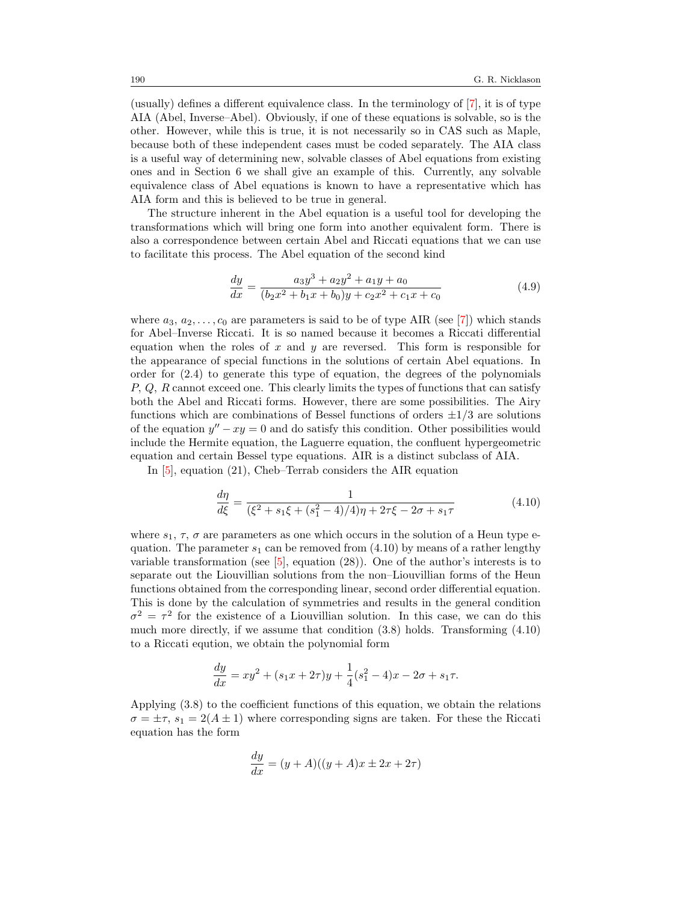(usually) defines a different equivalence class. In the terminology of [\[7\]](#page-25-11), it is of type AIA (Abel, Inverse–Abel). Obviously, if one of these equations is solvable, so is the other. However, while this is true, it is not necessarily so in CAS such as Maple, because both of these independent cases must be coded separately. The AIA class is a useful way of determining new, solvable classes of Abel equations from existing ones and in Section 6 we shall give an example of this. Currently, any solvable equivalence class of Abel equations is known to have a representative which has AIA form and this is believed to be true in general.

The structure inherent in the Abel equation is a useful tool for developing the transformations which will bring one form into another equivalent form. There is also a correspondence between certain Abel and Riccati equations that we can use to facilitate this process. The Abel equation of the second kind

<span id="page-19-1"></span>
$$
\frac{dy}{dx} = \frac{a_3 y^3 + a_2 y^2 + a_1 y + a_0}{(b_2 x^2 + b_1 x + b_0)y + c_2 x^2 + c_1 x + c_0} \tag{4.9}
$$

where  $a_3, a_2, \ldots, c_0$  are parameters is said to be of type AIR (see [\[7\]](#page-25-11)) which stands for Abel–Inverse Riccati. It is so named because it becomes a Riccati differential equation when the roles of  $x$  and  $y$  are reversed. This form is responsible for the appearance of special functions in the solutions of certain Abel equations. In order for [\(2.4\)](#page-4-0) to generate this type of equation, the degrees of the polynomials  $P, Q, R$  cannot exceed one. This clearly limits the types of functions that can satisfy both the Abel and Riccati forms. However, there are some possibilities. The Airy functions which are combinations of Bessel functions of orders  $\pm 1/3$  are solutions of the equation  $y'' - xy = 0$  and do satisfy this condition. Other possibilities would include the Hermite equation, the Laguerre equation, the confluent hypergeometric equation and certain Bessel type equations. AIR is a distinct subclass of AIA.

In [\[5\]](#page-25-12), equation (21), Cheb–Terrab considers the AIR equation

<span id="page-19-0"></span>
$$
\frac{d\eta}{d\xi} = \frac{1}{(\xi^2 + s_1\xi + (s_1^2 - 4)/4)\eta + 2\tau\xi - 2\sigma + s_1\tau}
$$
(4.10)

where  $s_1$ ,  $\tau$ ,  $\sigma$  are parameters as one which occurs in the solution of a Heun type equation. The parameter  $s_1$  can be removed from [\(4.10\)](#page-19-0) by means of a rather lengthy variable transformation (see  $[5]$ , equation  $(28)$ ). One of the author's interests is to separate out the Liouvillian solutions from the non–Liouvillian forms of the Heun functions obtained from the corresponding linear, second order differential equation. This is done by the calculation of symmetries and results in the general condition  $\sigma^2 = \tau^2$  for the existence of a Liouvillian solution. In this case, we can do this much more directly, if we assume that condition [\(3.8\)](#page-10-2) holds. Transforming [\(4.10\)](#page-19-0) to a Riccati eqution, we obtain the polynomial form

$$
\frac{dy}{dx} = xy^2 + (s_1x + 2\tau)y + \frac{1}{4}(s_1^2 - 4)x - 2\sigma + s_1\tau.
$$

Applying [\(3.8\)](#page-10-2) to the coefficient functions of this equation, we obtain the relations  $\sigma = \pm \tau$ ,  $s_1 = 2(A \pm 1)$  where corresponding signs are taken. For these the Riccati equation has the form

$$
\frac{dy}{dx} = (y+A)((y+A)x \pm 2x + 2\tau)
$$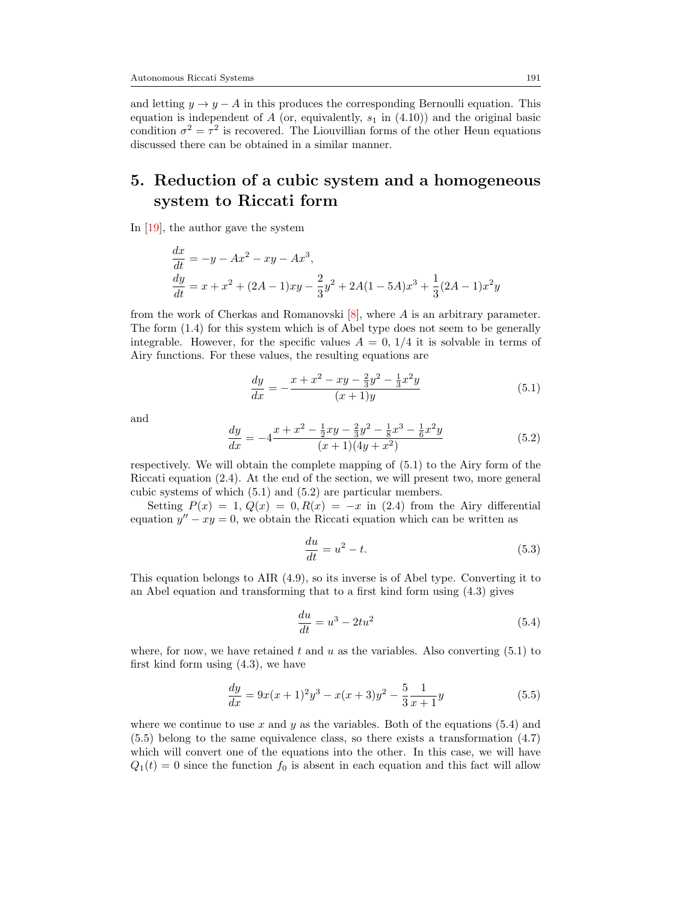and letting  $y \to y - A$  in this produces the corresponding Bernoulli equation. This equation is independent of A (or, equivalently,  $s_1$  in [\(4.10\)](#page-19-0)) and the original basic condition  $\sigma^2 = \tau^2$  is recovered. The Liouvillian forms of the other Heun equations discussed there can be obtained in a similar manner.

# 5. Reduction of a cubic system and a homogeneous system to Riccati form

In [\[19\]](#page-25-13), the author gave the system

$$
\frac{dx}{dt} = -y - Ax^2 - xy - Ax^3,\n\frac{dy}{dt} = x + x^2 + (2A - 1)xy - \frac{2}{3}y^2 + 2A(1 - 5A)x^3 + \frac{1}{3}(2A - 1)x^2y
$$

from the work of Cherkas and Romanovski [\[8\]](#page-25-14), where A is an arbitrary parameter. The form [\(1.4\)](#page-1-0) for this system which is of Abel type does not seem to be generally integrable. However, for the specific values  $A = 0$ ,  $1/4$  it is solvable in terms of Airy functions. For these values, the resulting equations are

<span id="page-20-0"></span>
$$
\frac{dy}{dx} = -\frac{x + x^2 - xy - \frac{2}{3}y^2 - \frac{1}{3}x^2y}{(x+1)y}
$$
(5.1)

and

<span id="page-20-1"></span>
$$
\frac{dy}{dx} = -4\frac{x+x^2 - \frac{1}{2}xy - \frac{2}{3}y^2 - \frac{1}{8}x^3 - \frac{1}{6}x^2y}{(x+1)(4y+x^2)}
$$
(5.2)

respectively. We will obtain the complete mapping of [\(5.1\)](#page-20-0) to the Airy form of the Riccati equation [\(2.4\)](#page-4-0). At the end of the section, we will present two, more general cubic systems of which [\(5.1\)](#page-20-0) and [\(5.2\)](#page-20-1) are particular members.

Setting  $P(x) = 1, Q(x) = 0, R(x) = -x$  in [\(2.4\)](#page-4-0) from the Airy differential equation  $y'' - xy = 0$ , we obtain the Riccati equation which can be written as

<span id="page-20-4"></span>
$$
\frac{du}{dt} = u^2 - t.\tag{5.3}
$$

This equation belongs to AIR [\(4.9\)](#page-19-1), so its inverse is of Abel type. Converting it to an Abel equation and transforming that to a first kind form using [\(4.3\)](#page-18-3) gives

<span id="page-20-2"></span>
$$
\frac{du}{dt} = u^3 - 2tu^2\tag{5.4}
$$

where, for now, we have retained t and u as the variables. Also converting  $(5.1)$  to first kind form using [\(4.3\)](#page-18-3), we have

<span id="page-20-3"></span>
$$
\frac{dy}{dx} = 9x(x+1)^2y^3 - x(x+3)y^2 - \frac{5}{3}\frac{1}{x+1}y
$$
\n(5.5)

where we continue to use x and y as the variables. Both of the equations  $(5.4)$  and [\(5.5\)](#page-20-3) belong to the same equivalence class, so there exists a transformation [\(4.7\)](#page-18-2) which will convert one of the equations into the other. In this case, we will have  $Q_1(t) = 0$  since the function  $f_0$  is absent in each equation and this fact will allow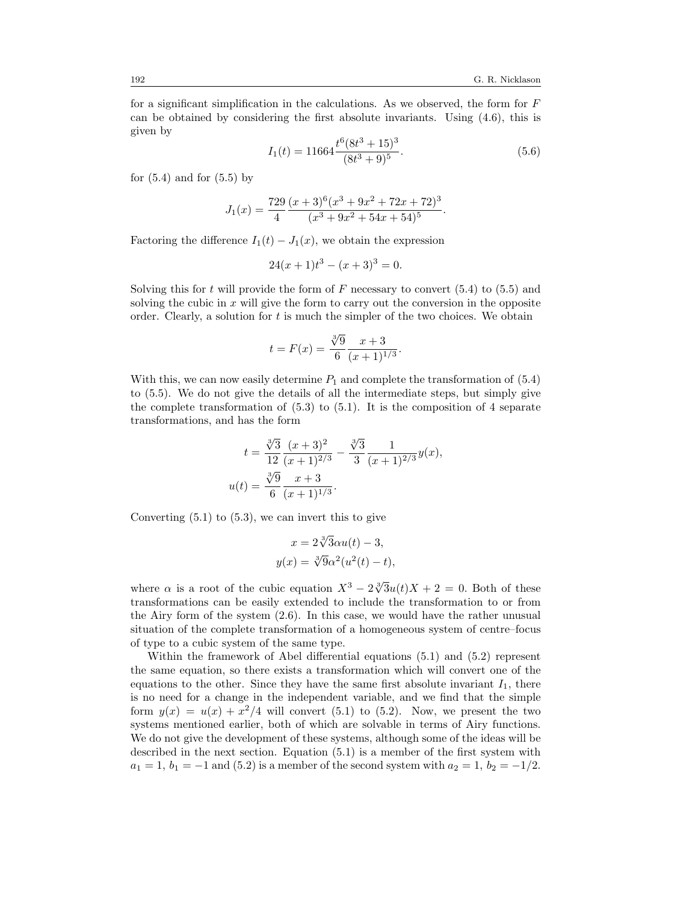for a significant simplification in the calculations. As we observed, the form for  $F$ can be obtained by considering the first absolute invariants. Using [\(4.6\)](#page-18-4), this is given by

<span id="page-21-0"></span>
$$
I_1(t) = 11664 \frac{t^6 (8t^3 + 15)^3}{(8t^3 + 9)^5}.
$$
\n(5.6)

for  $(5.4)$  and for  $(5.5)$  by

$$
J_1(x) = \frac{729}{4} \frac{(x+3)^6 (x^3+9x^2+72x+72)^3}{(x^3+9x^2+54x+54)^5}.
$$

Factoring the difference  $I_1(t) - J_1(x)$ , we obtain the expression

$$
24(x+1)t^3 - (x+3)^3 = 0.
$$

Solving this for t will provide the form of F necessary to convert  $(5.4)$  to  $(5.5)$  and solving the cubic in  $x$  will give the form to carry out the conversion in the opposite order. Clearly, a solution for  $t$  is much the simpler of the two choices. We obtain

$$
t = F(x) = \frac{\sqrt[3]{9}}{6} \frac{x+3}{(x+1)^{1/3}}.
$$

With this, we can now easily determine  $P_1$  and complete the transformation of  $(5.4)$ to [\(5.5\)](#page-20-3). We do not give the details of all the intermediate steps, but simply give the complete transformation of  $(5.3)$  to  $(5.1)$ . It is the composition of 4 separate transformations, and has the form

$$
t = \frac{\sqrt[3]{3}}{12} \frac{(x+3)^2}{(x+1)^{2/3}} - \frac{\sqrt[3]{3}}{3} \frac{1}{(x+1)^{2/3}} y(x),
$$
  

$$
u(t) = \frac{\sqrt[3]{9}}{6} \frac{x+3}{(x+1)^{1/3}}.
$$

Converting  $(5.1)$  to  $(5.3)$ , we can invert this to give

$$
x = 2\sqrt[3]{3}\alpha u(t) - 3,
$$
  

$$
y(x) = \sqrt[3]{9}\alpha^2(u^2(t) - t),
$$

where  $\alpha$  is a root of the cubic equation  $X^3 - 2\sqrt[3]{3}u(t)X + 2 = 0$ . Both of these transformations can be easily extended to include the transformation to or from the Airy form of the system [\(2.6\)](#page-4-1). In this case, we would have the rather unusual situation of the complete transformation of a homogeneous system of centre–focus of type to a cubic system of the same type.

Within the framework of Abel differential equations [\(5.1\)](#page-20-0) and [\(5.2\)](#page-20-1) represent the same equation, so there exists a transformation which will convert one of the equations to the other. Since they have the same first absolute invariant  $I_1$ , there is no need for a change in the independent variable, and we find that the simple form  $y(x) = u(x) + x^2/4$  will convert [\(5.1\)](#page-20-0) to [\(5.2\)](#page-20-1). Now, we present the two systems mentioned earlier, both of which are solvable in terms of Airy functions. We do not give the development of these systems, although some of the ideas will be described in the next section. Equation [\(5.1\)](#page-20-0) is a member of the first system with  $a_1 = 1, b_1 = -1$  and [\(5.2\)](#page-20-1) is a member of the second system with  $a_2 = 1, b_2 = -1/2$ .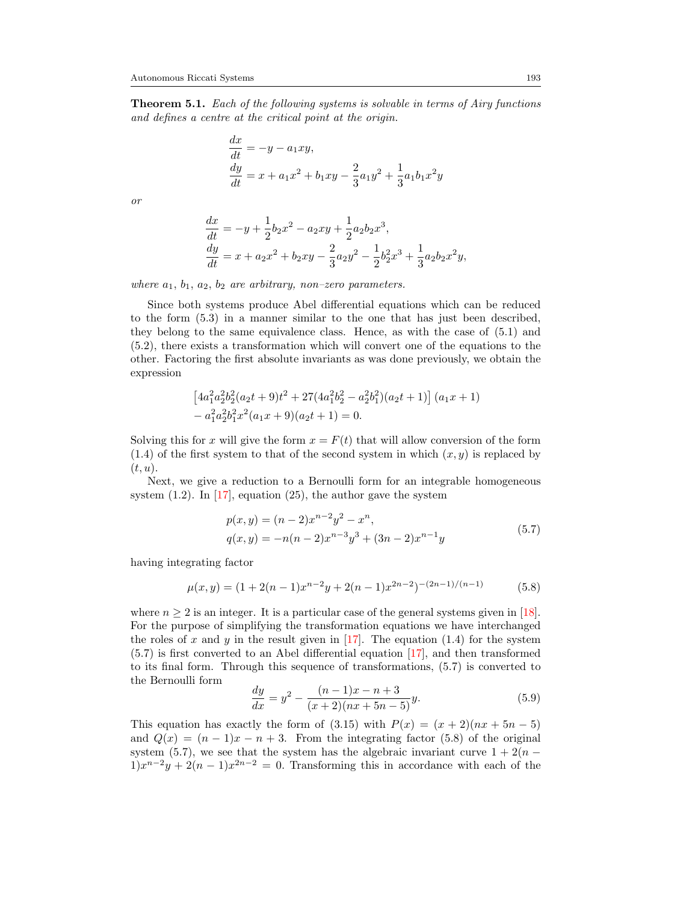<span id="page-22-3"></span>**Theorem 5.1.** Each of the following systems is solvable in terms of Airy functions and defines a centre at the critical point at the origin.

$$
\begin{aligned}\n\frac{dx}{dt} &= -y - a_1 xy, \\
\frac{dy}{dt} &= x + a_1 x^2 + b_1 xy - \frac{2}{3} a_1 y^2 + \frac{1}{3} a_1 b_1 x^2 y\n\end{aligned}
$$

or

$$
\begin{aligned}\n\frac{dx}{dt} &= -y + \frac{1}{2}b_2x^2 - a_2xy + \frac{1}{2}a_2b_2x^3, \\
\frac{dy}{dt} &= x + a_2x^2 + b_2xy - \frac{2}{3}a_2y^2 - \frac{1}{2}b_2^2x^3 + \frac{1}{3}a_2b_2x^2y,\n\end{aligned}
$$

where  $a_1, b_1, a_2, b_2$  are arbitrary, non-zero parameters.

Since both systems produce Abel differential equations which can be reduced to the form [\(5.3\)](#page-20-4) in a manner similar to the one that has just been described, they belong to the same equivalence class. Hence, as with the case of [\(5.1\)](#page-20-0) and [\(5.2\)](#page-20-1), there exists a transformation which will convert one of the equations to the other. Factoring the first absolute invariants as was done previously, we obtain the expression

$$
\begin{aligned} &\left[4a_1^2a_2^2b_2^2(a_2t+9)t^2+27(4a_1^2b_2^2-a_2^2b_1^2)(a_2t+1)\right](a_1x+1)\\ &-a_1^2a_2^2b_1^2x^2(a_1x+9)(a_2t+1)=0. \end{aligned}
$$

Solving this for x will give the form  $x = F(t)$  that will allow conversion of the form  $(1.4)$  of the first system to that of the second system in which  $(x, y)$  is replaced by  $(t, u)$ .

Next, we give a reduction to a Bernoulli form for an integrable homogeneous system  $(1.2)$ . In [\[17\]](#page-25-1), equation  $(25)$ , the author gave the system

$$
p(x,y) = (n-2)x^{n-2}y^2 - x^n,
$$
  
\n
$$
q(x,y) = -n(n-2)x^{n-3}y^3 + (3n-2)x^{n-1}y
$$
\n(5.7)

<span id="page-22-0"></span>having integrating factor

<span id="page-22-1"></span>
$$
\mu(x,y) = (1+2(n-1)x^{n-2}y + 2(n-1)x^{2n-2})^{-(2n-1)/(n-1)}
$$
(5.8)

where  $n \geq 2$  is an integer. It is a particular case of the general systems given in [\[18\]](#page-25-15). For the purpose of simplifying the transformation equations we have interchanged the roles of x and y in the result given in  $[17]$ . The equation [\(1.4\)](#page-1-0) for the system [\(5.7\)](#page-22-0) is first converted to an Abel differential equation [\[17\]](#page-25-1), and then transformed to its final form. Through this sequence of transformations, [\(5.7\)](#page-22-0) is converted to the Bernoulli form

<span id="page-22-2"></span>
$$
\frac{dy}{dx} = y^2 - \frac{(n-1)x - n + 3}{(x+2)(nx+5n-5)}y.
$$
\n(5.9)

This equation has exactly the form of [\(3.15\)](#page-14-0) with  $P(x) = (x+2)(nx+5n-5)$ and  $Q(x) = (n-1)x - n + 3$ . From the integrating factor [\(5.8\)](#page-22-1) of the original system [\(5.7\)](#page-22-0), we see that the system has the algebraic invariant curve  $1 + 2(n 1)x^{n-2}y + 2(n-1)x^{2n-2} = 0$ . Transforming this in accordance with each of the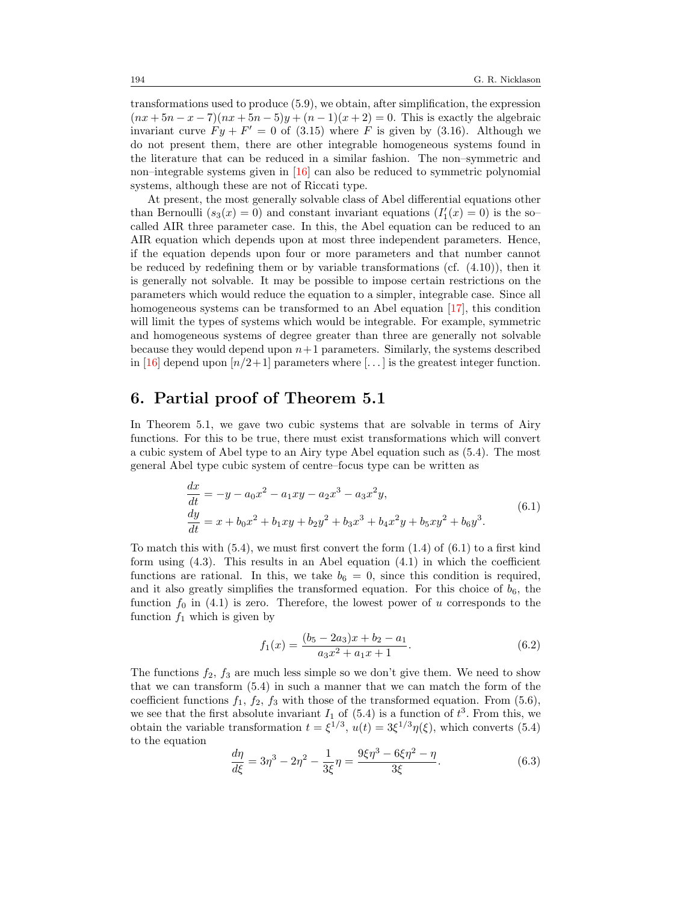transformations used to produce [\(5.9\)](#page-22-2), we obtain, after simplification, the expression  $(nx + 5n - x - 7)(nx + 5n - 5)y + (n - 1)(x + 2) = 0$ . This is exactly the algebraic invariant curve  $Fy + F' = 0$  of [\(3.15\)](#page-14-0) where F is given by [\(3.16\)](#page-14-1). Although we do not present them, there are other integrable homogeneous systems found in the literature that can be reduced in a similar fashion. The non–symmetric and non–integrable systems given in [\[16\]](#page-25-16) can also be reduced to symmetric polynomial systems, although these are not of Riccati type.

At present, the most generally solvable class of Abel differential equations other than Bernoulli  $(s_3(x) = 0)$  and constant invariant equations  $(I'_1(x) = 0)$  is the socalled AIR three parameter case. In this, the Abel equation can be reduced to an AIR equation which depends upon at most three independent parameters. Hence, if the equation depends upon four or more parameters and that number cannot be reduced by redefining them or by variable transformations (cf. [\(4.10\)](#page-19-0)), then it is generally not solvable. It may be possible to impose certain restrictions on the parameters which would reduce the equation to a simpler, integrable case. Since all homogeneous systems can be transformed to an Abel equation [\[17\]](#page-25-1), this condition will limit the types of systems which would be integrable. For example, symmetric and homogeneous systems of degree greater than three are generally not solvable because they would depend upon  $n+1$  parameters. Similarly, the systems described in [\[16\]](#page-25-16) depend upon  $\lfloor n/2+1 \rfloor$  parameters where  $\lfloor \dots \rfloor$  is the greatest integer function.

### 6. Partial proof of Theorem [5.1](#page-22-3)

In Theorem [5.1,](#page-22-3) we gave two cubic systems that are solvable in terms of Airy functions. For this to be true, there must exist transformations which will convert a cubic system of Abel type to an Airy type Abel equation such as [\(5.4\)](#page-20-2). The most general Abel type cubic system of centre–focus type can be written as

$$
\begin{aligned}\n\frac{dx}{dt} &= -y - a_0 x^2 - a_1 xy - a_2 x^3 - a_3 x^2 y, \\
\frac{dy}{dt} &= x + b_0 x^2 + b_1 xy + b_2 y^2 + b_3 x^3 + b_4 x^2 y + b_5 xy^2 + b_6 y^3.\n\end{aligned}
$$
(6.1)

<span id="page-23-0"></span>To match this with  $(5.4)$ , we must first convert the form  $(1.4)$  of  $(6.1)$  to a first kind form using  $(4.3)$ . This results in an Abel equation  $(4.1)$  in which the coefficient functions are rational. In this, we take  $b_6 = 0$ , since this condition is required, and it also greatly simplifies the transformed equation. For this choice of  $b_6$ , the function  $f_0$  in [\(4.1\)](#page-17-0) is zero. Therefore, the lowest power of u corresponds to the function  $f_1$  which is given by

<span id="page-23-2"></span>
$$
f_1(x) = \frac{(b_5 - 2a_3)x + b_2 - a_1}{a_3x^2 + a_1x + 1}.
$$
\n(6.2)

The functions  $f_2$ ,  $f_3$  are much less simple so we don't give them. We need to show that we can transform [\(5.4\)](#page-20-2) in such a manner that we can match the form of the coefficient functions  $f_1$ ,  $f_2$ ,  $f_3$  with those of the transformed equation. From [\(5.6\)](#page-21-0), we see that the first absolute invariant  $I_1$  of [\(5.4\)](#page-20-2) is a function of  $t^3$ . From this, we obtain the variable transformation  $t = \xi^{1/3}$ ,  $u(t) = 3\xi^{1/3}\eta(\xi)$ , which converts [\(5.4\)](#page-20-2) to the equation

<span id="page-23-1"></span>
$$
\frac{d\eta}{d\xi} = 3\eta^3 - 2\eta^2 - \frac{1}{3\xi}\eta = \frac{9\xi\eta^3 - 6\xi\eta^2 - \eta}{3\xi}.
$$
\n(6.3)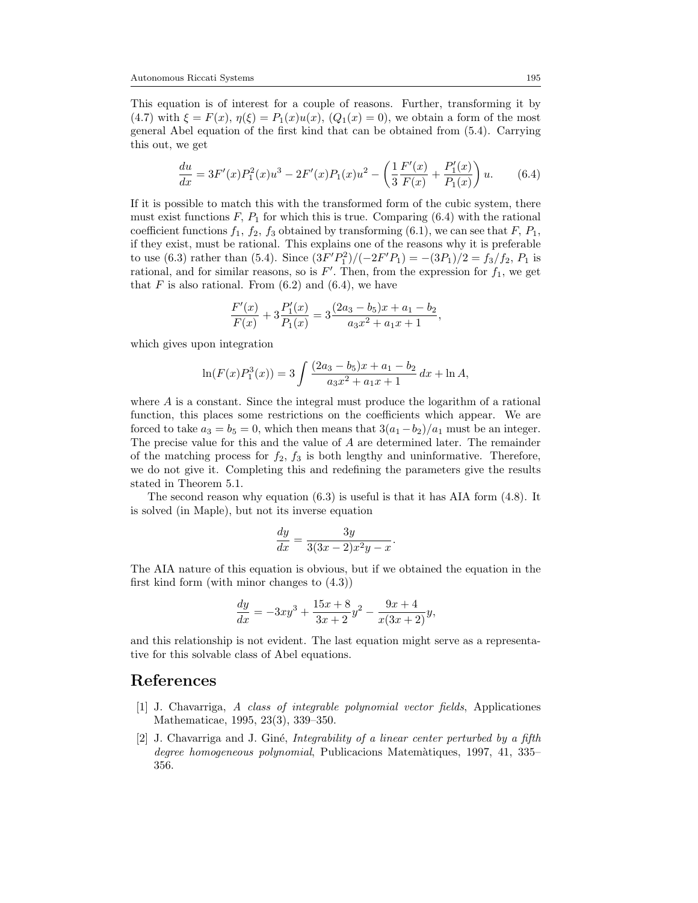This equation is of interest for a couple of reasons. Further, transforming it by [\(4.7\)](#page-18-2) with  $\xi = F(x)$ ,  $\eta(\xi) = P_1(x)u(x)$ ,  $(Q_1(x) = 0)$ , we obtain a form of the most general Abel equation of the first kind that can be obtained from [\(5.4\)](#page-20-2). Carrying this out, we get

<span id="page-24-2"></span>
$$
\frac{du}{dx} = 3F'(x)P_1^2(x)u^3 - 2F'(x)P_1(x)u^2 - \left(\frac{1}{3}\frac{F'(x)}{F(x)} + \frac{P'_1(x)}{P_1(x)}\right)u.
$$
 (6.4)

If it is possible to match this with the transformed form of the cubic system, there must exist functions  $F$ ,  $P_1$  for which this is true. Comparing [\(6.4\)](#page-24-2) with the rational coefficient functions  $f_1$ ,  $f_2$ ,  $f_3$  obtained by transforming [\(6.1\)](#page-23-0), we can see that  $F$ ,  $P_1$ , if they exist, must be rational. This explains one of the reasons why it is preferable to use [\(6.3\)](#page-23-1) rather than [\(5.4\)](#page-20-2). Since  $\frac{(3F'P_1^2)}{(-2F'P_1)} = -\frac{(3P_1)}{2} = \frac{f_3}{f_2}$ ,  $P_1$  is rational, and for similar reasons, so is  $F'$ . Then, from the expression for  $f_1$ , we get that F is also rational. From  $(6.2)$  and  $(6.4)$ , we have

$$
\frac{F'(x)}{F(x)} + 3\frac{P_1'(x)}{P_1(x)} = 3\frac{(2a_3 - b_5)x + a_1 - b_2}{a_3x^2 + a_1x + 1},
$$

which gives upon integration

$$
\ln(F(x)P_1^3(x)) = 3 \int \frac{(2a_3 - b_5)x + a_1 - b_2}{a_3x^2 + a_1x + 1} dx + \ln A,
$$

where A is a constant. Since the integral must produce the logarithm of a rational function, this places some restrictions on the coefficients which appear. We are forced to take  $a_3 = b_5 = 0$ , which then means that  $3(a_1 - b_2)/a_1$  must be an integer. The precise value for this and the value of A are determined later. The remainder of the matching process for  $f_2$ ,  $f_3$  is both lengthy and uninformative. Therefore, we do not give it. Completing this and redefining the parameters give the results stated in Theorem [5.1.](#page-22-3)

The second reason why equation  $(6.3)$  is useful is that it has AIA form  $(4.8)$ . It is solved (in Maple), but not its inverse equation

$$
\frac{dy}{dx} = \frac{3y}{3(3x-2)x^2y-x}.
$$

The AIA nature of this equation is obvious, but if we obtained the equation in the first kind form (with minor changes to [\(4.3\)](#page-18-3))

$$
\frac{dy}{dx} = -3xy^3 + \frac{15x + 8}{3x + 2}y^2 - \frac{9x + 4}{x(3x + 2)}y,
$$

and this relationship is not evident. The last equation might serve as a representative for this solvable class of Abel equations.

### <span id="page-24-0"></span>References

- <span id="page-24-1"></span>[1] J. Chavarriga, A class of integrable polynomial vector fields, Applicationes Mathematicae, 1995, 23(3), 339–350.
- [2] J. Chavarriga and J. Giné, *Integrability of a linear center perturbed by a fifth* degree homogeneous polynomial, Publicacions Matemàtiques, 1997, 41, 335– 356.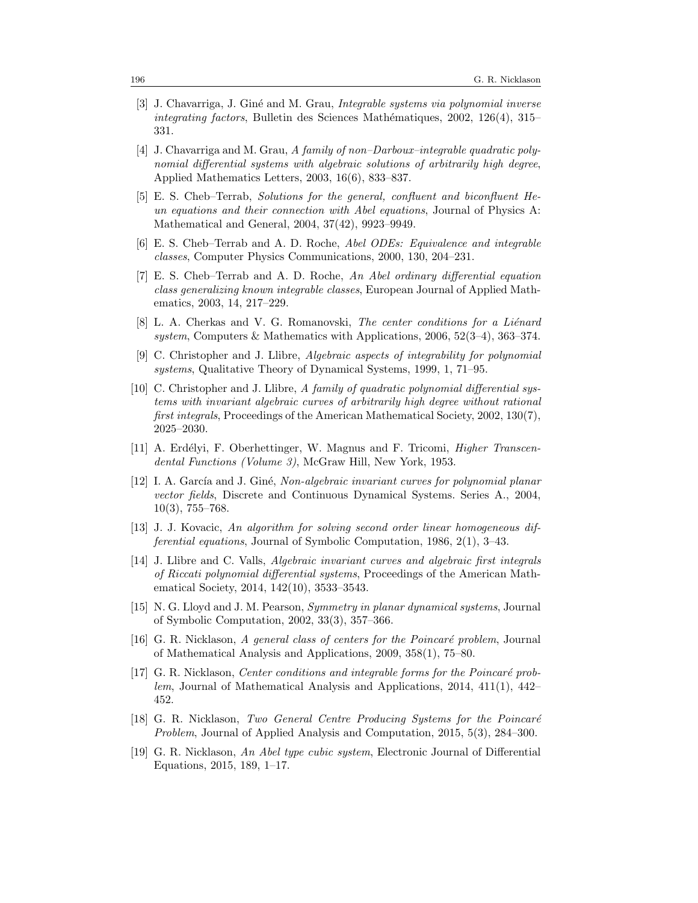- <span id="page-25-0"></span>[3] J. Chavarriga, J. Gin´e and M. Grau, Integrable systems via polynomial inverse  $integrating factors, Bulletin des Sciences Mathématiques, 2002, 126(4), 315–$ 331.
- <span id="page-25-7"></span>[4] J. Chavarriga and M. Grau, A family of non–Darboux–integrable quadratic polynomial differential systems with algebraic solutions of arbitrarily high degree, Applied Mathematics Letters, 2003, 16(6), 833–837.
- <span id="page-25-12"></span>[5] E. S. Cheb–Terrab, Solutions for the general, confluent and biconfluent Heun equations and their connection with Abel equations, Journal of Physics A: Mathematical and General, 2004, 37(42), 9923–9949.
- <span id="page-25-10"></span>[6] E. S. Cheb–Terrab and A. D. Roche, Abel ODEs: Equivalence and integrable classes, Computer Physics Communications, 2000, 130, 204–231.
- <span id="page-25-11"></span>[7] E. S. Cheb–Terrab and A. D. Roche, An Abel ordinary differential equation class generalizing known integrable classes, European Journal of Applied Mathematics, 2003, 14, 217–229.
- <span id="page-25-14"></span>[8] L. A. Cherkas and V. G. Romanovski, The center conditions for a Liénard system, Computers & Mathematics with Applications,  $2006, 52(3-4), 363-374$ .
- <span id="page-25-5"></span>[9] C. Christopher and J. Llibre, Algebraic aspects of integrability for polynomial systems, Qualitative Theory of Dynamical Systems, 1999, 1, 71–95.
- <span id="page-25-9"></span>[10] C. Christopher and J. Llibre, A family of quadratic polynomial differential systems with invariant algebraic curves of arbitrarily high degree without rational first integrals, Proceedings of the American Mathematical Society, 2002, 130(7), 2025–2030.
- <span id="page-25-3"></span>[11] A. Erdélyi, F. Oberhettinger, W. Magnus and F. Tricomi, *Higher Transcen*dental Functions (Volume 3), McGraw Hill, New York, 1953.
- <span id="page-25-6"></span>[12] I. A. García and J. Giné, Non-algebraic invariant curves for polynomial planar vector fields, Discrete and Continuous Dynamical Systems. Series A., 2004, 10(3), 755–768.
- <span id="page-25-8"></span>[13] J. J. Kovacic, An algorithm for solving second order linear homogeneous differential equations, Journal of Symbolic Computation, 1986, 2(1), 3–43.
- <span id="page-25-2"></span>[14] J. Llibre and C. Valls, Algebraic invariant curves and algebraic first integrals of Riccati polynomial differential systems, Proceedings of the American Mathematical Society, 2014, 142(10), 3533–3543.
- <span id="page-25-4"></span>[15] N. G. Lloyd and J. M. Pearson, Symmetry in planar dynamical systems, Journal of Symbolic Computation, 2002, 33(3), 357–366.
- <span id="page-25-16"></span>[16] G. R. Nicklason,  $A$  general class of centers for the Poincaré problem, Journal of Mathematical Analysis and Applications, 2009, 358(1), 75–80.
- <span id="page-25-1"></span>[17] G. R. Nicklason, *Center conditions and integrable forms for the Poincaré prob*lem, Journal of Mathematical Analysis and Applications, 2014, 411(1), 442– 452.
- <span id="page-25-15"></span>[18] G. R. Nicklason, Two General Centre Producing Systems for the Poincaré Problem, Journal of Applied Analysis and Computation, 2015, 5(3), 284–300.
- <span id="page-25-13"></span>[19] G. R. Nicklason, An Abel type cubic system, Electronic Journal of Differential Equations, 2015, 189, 1–17.